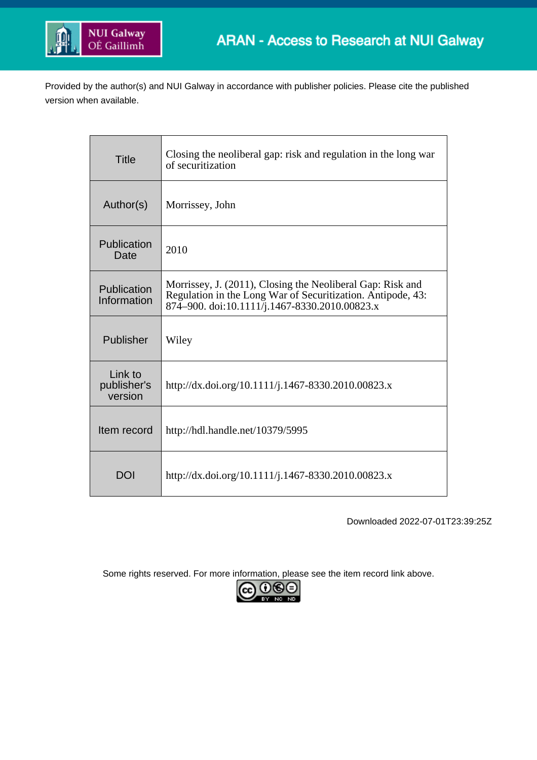

Provided by the author(s) and NUI Galway in accordance with publisher policies. Please cite the published version when available.

| Title                             | Closing the neoliberal gap: risk and regulation in the long war<br>of securitization                                                                                       |
|-----------------------------------|----------------------------------------------------------------------------------------------------------------------------------------------------------------------------|
| Author(s)                         | Morrissey, John                                                                                                                                                            |
| Publication<br>Date               | 2010                                                                                                                                                                       |
| Publication<br>Information        | Morrissey, J. (2011), Closing the Neoliberal Gap: Risk and<br>Regulation in the Long War of Securitization. Antipode, 43:<br>874–900. doi:10.1111/j.1467-8330.2010.00823.x |
| Publisher                         | Wiley                                                                                                                                                                      |
| Link to<br>publisher's<br>version | http://dx.doi.org/10.1111/j.1467-8330.2010.00823.x                                                                                                                         |
| Item record                       | http://hdl.handle.net/10379/5995                                                                                                                                           |
| <b>DOI</b>                        | http://dx.doi.org/10.1111/j.1467-8330.2010.00823.x                                                                                                                         |

Downloaded 2022-07-01T23:39:25Z

Some rights reserved. For more information, please see the item record link above.

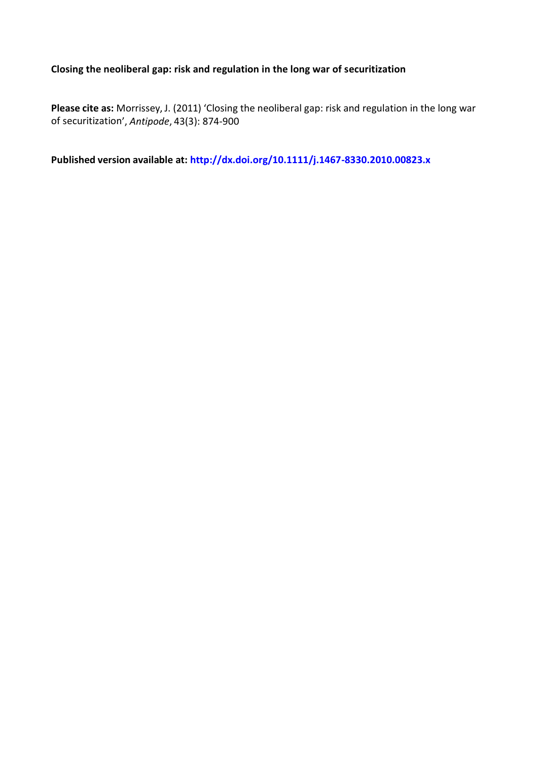# **Closing the neoliberal gap: risk and regulation in the long war of securitization**

**Please cite as:** Morrissey, J. (2011) 'Closing the neoliberal gap: risk and regulation in the long war of securitization', *Antipode*, 43(3): 874-900

**Published version available at: <http://dx.doi.org/10.1111/j.1467-8330.2010.00823.x>**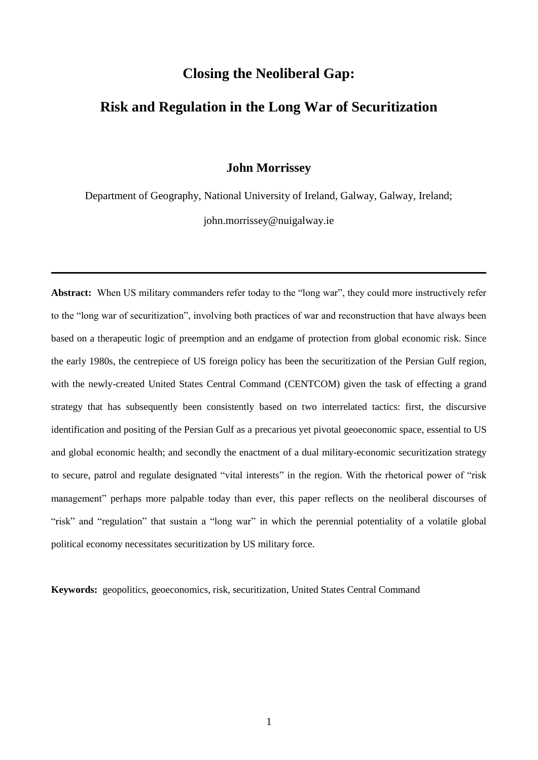# **Closing the Neoliberal Gap:**

# **Risk and Regulation in the Long War of Securitization**

## **John Morrissey**

Department of Geography, National University of Ireland, Galway, Galway, Ireland; john.morrissey@nuigalway.ie

Abstract: When US military commanders refer today to the "long war", they could more instructively refer to the "long war of securitization", involving both practices of war and reconstruction that have always been based on a therapeutic logic of preemption and an endgame of protection from global economic risk. Since the early 1980s, the centrepiece of US foreign policy has been the securitization of the Persian Gulf region, with the newly-created United States Central Command (CENTCOM) given the task of effecting a grand strategy that has subsequently been consistently based on two interrelated tactics: first, the discursive identification and positing of the Persian Gulf as a precarious yet pivotal geoeconomic space, essential to US and global economic health; and secondly the enactment of a dual military-economic securitization strategy to secure, patrol and regulate designated "vital interests" in the region. With the rhetorical power of "risk management" perhaps more palpable today than ever, this paper reflects on the neoliberal discourses of "risk" and "regulation" that sustain a "long war" in which the perennial potentiality of a volatile global political economy necessitates securitization by US military force.

**Keywords:** geopolitics, geoeconomics, risk, securitization, United States Central Command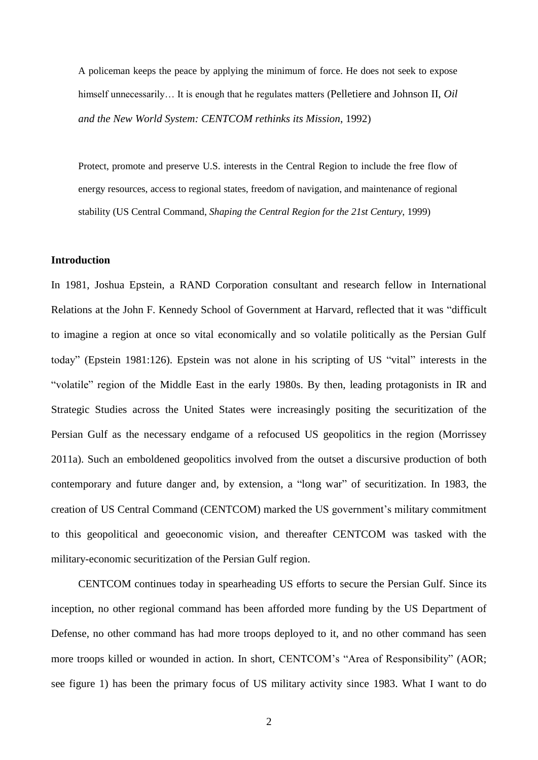A policeman keeps the peace by applying the minimum of force. He does not seek to expose himself unnecessarily... It is enough that he regulates matters (Pelletiere and Johnson II, *Oil and the New World System: CENTCOM rethinks its Mission*, 1992)

Protect, promote and preserve U.S. interests in the Central Region to include the free flow of energy resources, access to regional states, freedom of navigation, and maintenance of regional stability (US Central Command, *Shaping the Central Region for the 21st Century*, 1999)

#### **Introduction**

In 1981, Joshua Epstein, a RAND Corporation consultant and research fellow in International Relations at the John F. Kennedy School of Government at Harvard, reflected that it was "difficult to imagine a region at once so vital economically and so volatile politically as the Persian Gulf today" (Epstein 1981:126). Epstein was not alone in his scripting of US "vital" interests in the "volatile" region of the Middle East in the early 1980s. By then, leading protagonists in IR and Strategic Studies across the United States were increasingly positing the securitization of the Persian Gulf as the necessary endgame of a refocused US geopolitics in the region (Morrissey 2011a). Such an emboldened geopolitics involved from the outset a discursive production of both contemporary and future danger and, by extension, a "long war" of securitization. In 1983, the creation of US Central Command (CENTCOM) marked the US government's military commitment to this geopolitical and geoeconomic vision, and thereafter CENTCOM was tasked with the military-economic securitization of the Persian Gulf region.

CENTCOM continues today in spearheading US efforts to secure the Persian Gulf. Since its inception, no other regional command has been afforded more funding by the US Department of Defense, no other command has had more troops deployed to it, and no other command has seen more troops killed or wounded in action. In short, CENTCOM's "Area of Responsibility" (AOR; see figure 1) has been the primary focus of US military activity since 1983. What I want to do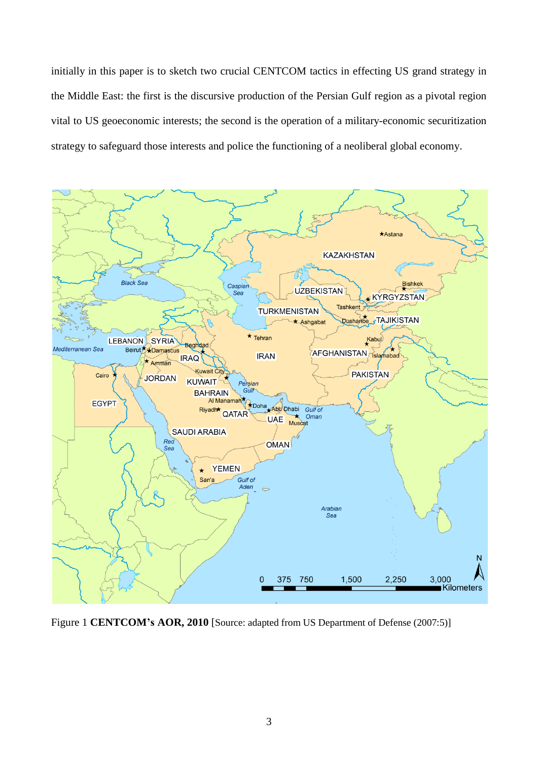initially in this paper is to sketch two crucial CENTCOM tactics in effecting US grand strategy in the Middle East: the first is the discursive production of the Persian Gulf region as a pivotal region vital to US geoeconomic interests; the second is the operation of a military-economic securitization strategy to safeguard those interests and police the functioning of a neoliberal global economy.



Figure 1 **CENTCOM's AOR, 2010** [Source: adapted from US Department of Defense (2007:5)]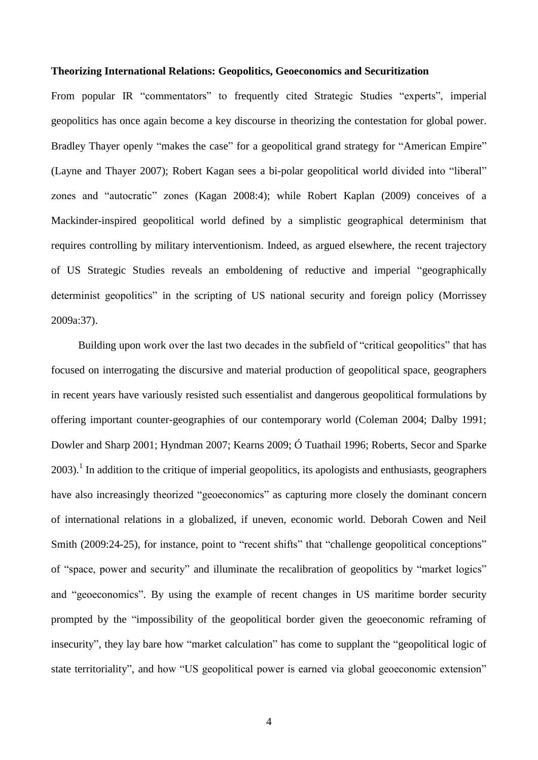### **Theorizing International Relations: Geopolitics, Geoeconomics and Securitization**

From popular IR "commentators" to frequently cited Strategic Studies "experts", imperial geopolitics has once again become a key discourse in theorizing the contestation for global power. Bradley Thayer openly "makes the case" for a geopolitical grand strategy for "American Empire" (Layne and Thayer 2007); Robert Kagan sees a bi-polar geopolitical world divided into "liberal" zones and "autocratic" zones (Kagan 2008:4); while Robert Kaplan (2009) conceives of a Mackinder-inspired geopolitical world defined by a simplistic geographical determinism that requires controlling by military interventionism. Indeed, as argued elsewhere, the recent trajectory of US Strategic Studies reveals an emboldening of reductive and imperial "geographically determinist geopolitics" in the scripting of US national security and foreign policy (Morrissey 2009a:37).

Building upon work over the last two decades in the subfield of "critical geopolitics" that has focused on interrogating the discursive and material production of geopolitical space, geographers in recent years have variously resisted such essentialist and dangerous geopolitical formulations by offering important counter-geographies of our contemporary world (Coleman 2004; Dalby 1991; Dowler and Sharp 2001; Hyndman 2007; Kearns 2009; Ó Tuathail 1996; Roberts, Secor and Sparke  $2003$ ).<sup>1</sup> In addition to the critique of imperial geopolitics, its apologists and enthusiasts, geographers have also increasingly theorized "geoeconomics" as capturing more closely the dominant concern of international relations in a globalized, if uneven, economic world. Deborah Cowen and Neil Smith (2009:24-25), for instance, point to "recent shifts" that "challenge geopolitical conceptions" of "space, power and security" and illuminate the recalibration of geopolitics by "market logics" and "geoeconomics". By using the example of recent changes in US maritime border security prompted by the "impossibility of the geopolitical border given the geoeconomic reframing of insecurity", they lay bare how "market calculation" has come to supplant the "geopolitical logic of state territoriality", and how "US geopolitical power is earned via global geoeconomic extension"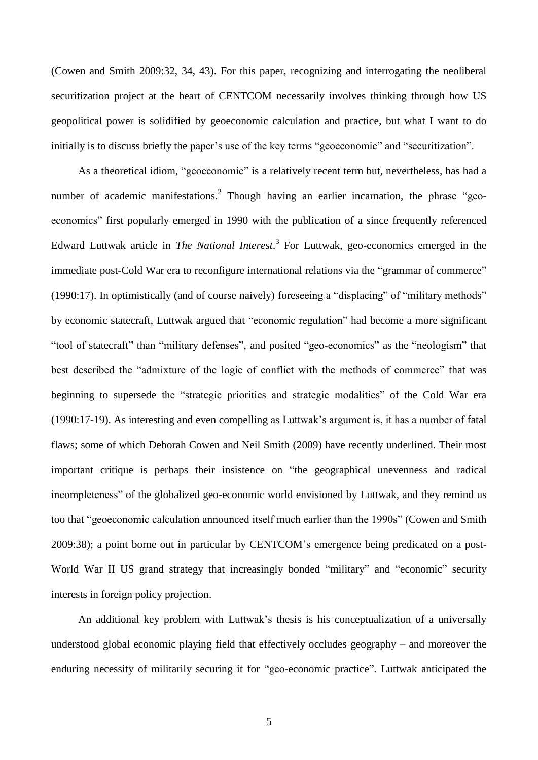(Cowen and Smith 2009:32, 34, 43). For this paper, recognizing and interrogating the neoliberal securitization project at the heart of CENTCOM necessarily involves thinking through how US geopolitical power is solidified by geoeconomic calculation and practice, but what I want to do initially is to discuss briefly the paper's use of the key terms "geoeconomic" and "securitization".

As a theoretical idiom, "geoeconomic" is a relatively recent term but, nevertheless, has had a number of academic manifestations.<sup>2</sup> Though having an earlier incarnation, the phrase "geoeconomics" first popularly emerged in 1990 with the publication of a since frequently referenced Edward Luttwak article in *The National Interest*. 3 For Luttwak, geo-economics emerged in the immediate post-Cold War era to reconfigure international relations via the "grammar of commerce" (1990:17). In optimistically (and of course naively) foreseeing a "displacing" of "military methods" by economic statecraft, Luttwak argued that "economic regulation" had become a more significant "tool of statecraft" than "military defenses", and posited "geo-economics" as the "neologism" that best described the "admixture of the logic of conflict with the methods of commerce" that was beginning to supersede the "strategic priorities and strategic modalities" of the Cold War era (1990:17-19). As interesting and even compelling as Luttwak's argument is, it has a number of fatal flaws; some of which Deborah Cowen and Neil Smith (2009) have recently underlined. Their most important critique is perhaps their insistence on "the geographical unevenness and radical incompleteness" of the globalized geo-economic world envisioned by Luttwak, and they remind us too that "geoeconomic calculation announced itself much earlier than the 1990s" (Cowen and Smith 2009:38); a point borne out in particular by CENTCOM's emergence being predicated on a post-World War II US grand strategy that increasingly bonded "military" and "economic" security interests in foreign policy projection.

An additional key problem with Luttwak's thesis is his conceptualization of a universally understood global economic playing field that effectively occludes geography – and moreover the enduring necessity of militarily securing it for "geo-economic practice". Luttwak anticipated the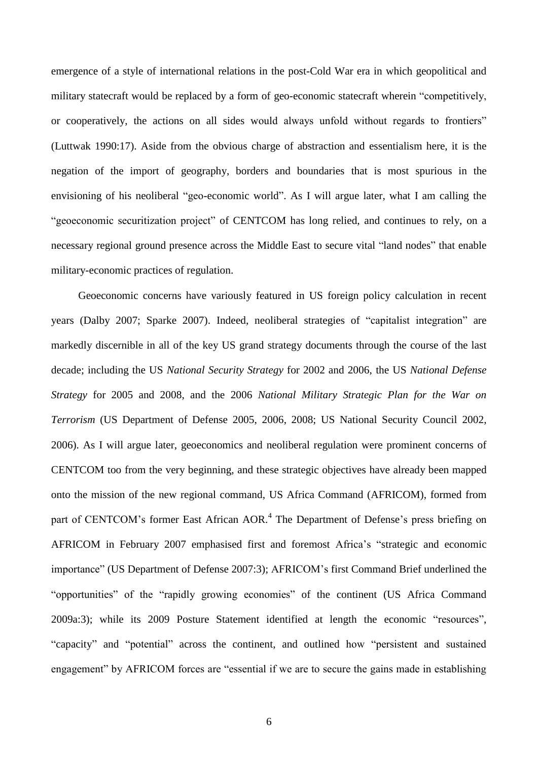emergence of a style of international relations in the post-Cold War era in which geopolitical and military statecraft would be replaced by a form of geo-economic statecraft wherein "competitively, or cooperatively, the actions on all sides would always unfold without regards to frontiers" (Luttwak 1990:17). Aside from the obvious charge of abstraction and essentialism here, it is the negation of the import of geography, borders and boundaries that is most spurious in the envisioning of his neoliberal "geo-economic world". As I will argue later, what I am calling the "geoeconomic securitization project" of CENTCOM has long relied, and continues to rely, on a necessary regional ground presence across the Middle East to secure vital "land nodes" that enable military-economic practices of regulation.

Geoeconomic concerns have variously featured in US foreign policy calculation in recent years (Dalby 2007; Sparke 2007). Indeed, neoliberal strategies of "capitalist integration" are markedly discernible in all of the key US grand strategy documents through the course of the last decade; including the US *National Security Strategy* for 2002 and 2006, the US *National Defense Strategy* for 2005 and 2008, and the 2006 *National Military Strategic Plan for the War on Terrorism* (US Department of Defense 2005, 2006, 2008; US National Security Council 2002, 2006). As I will argue later, geoeconomics and neoliberal regulation were prominent concerns of CENTCOM too from the very beginning, and these strategic objectives have already been mapped onto the mission of the new regional command, US Africa Command (AFRICOM), formed from part of CENTCOM's former East African AOR.<sup>4</sup> The Department of Defense's press briefing on AFRICOM in February 2007 emphasised first and foremost Africa's "strategic and economic importance" (US Department of Defense 2007:3); AFRICOM's first Command Brief underlined the "opportunities" of the "rapidly growing economies" of the continent (US Africa Command 2009a:3); while its 2009 Posture Statement identified at length the economic "resources", "capacity" and "potential" across the continent, and outlined how "persistent and sustained engagement" by AFRICOM forces are "essential if we are to secure the gains made in establishing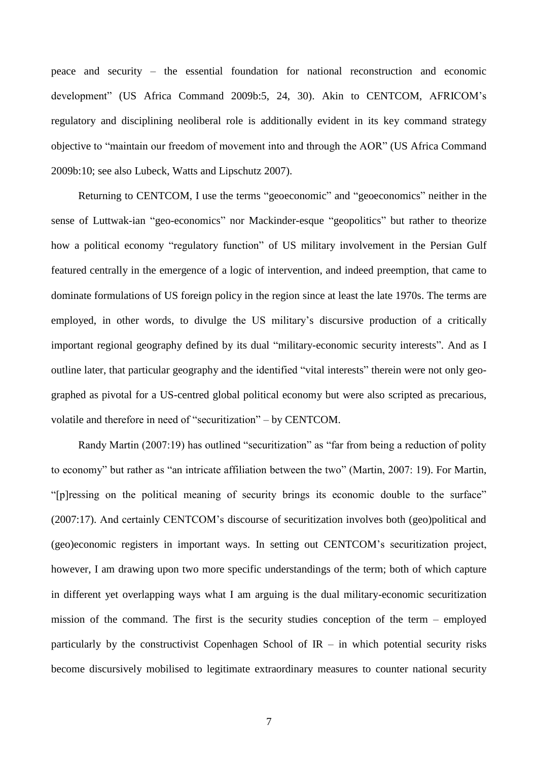peace and security – the essential foundation for national reconstruction and economic development" (US Africa Command 2009b:5, 24, 30). Akin to CENTCOM, AFRICOM's regulatory and disciplining neoliberal role is additionally evident in its key command strategy objective to "maintain our freedom of movement into and through the AOR" (US Africa Command 2009b:10; see also Lubeck, Watts and Lipschutz 2007).

Returning to CENTCOM, I use the terms "geoeconomic" and "geoeconomics" neither in the sense of Luttwak-ian "geo-economics" nor Mackinder-esque "geopolitics" but rather to theorize how a political economy "regulatory function" of US military involvement in the Persian Gulf featured centrally in the emergence of a logic of intervention, and indeed preemption, that came to dominate formulations of US foreign policy in the region since at least the late 1970s. The terms are employed, in other words, to divulge the US military's discursive production of a critically important regional geography defined by its dual "military-economic security interests". And as I outline later, that particular geography and the identified "vital interests" therein were not only geographed as pivotal for a US-centred global political economy but were also scripted as precarious, volatile and therefore in need of "securitization" – by CENTCOM.

Randy Martin (2007:19) has outlined "securitization" as "far from being a reduction of polity to economy" but rather as "an intricate affiliation between the two" (Martin, 2007: 19). For Martin, "[p]ressing on the political meaning of security brings its economic double to the surface" (2007:17). And certainly CENTCOM's discourse of securitization involves both (geo)political and (geo)economic registers in important ways. In setting out CENTCOM's securitization project, however, I am drawing upon two more specific understandings of the term; both of which capture in different yet overlapping ways what I am arguing is the dual military-economic securitization mission of the command. The first is the security studies conception of the term – employed particularly by the constructivist Copenhagen School of  $IR - in$  which potential security risks become discursively mobilised to legitimate extraordinary measures to counter national security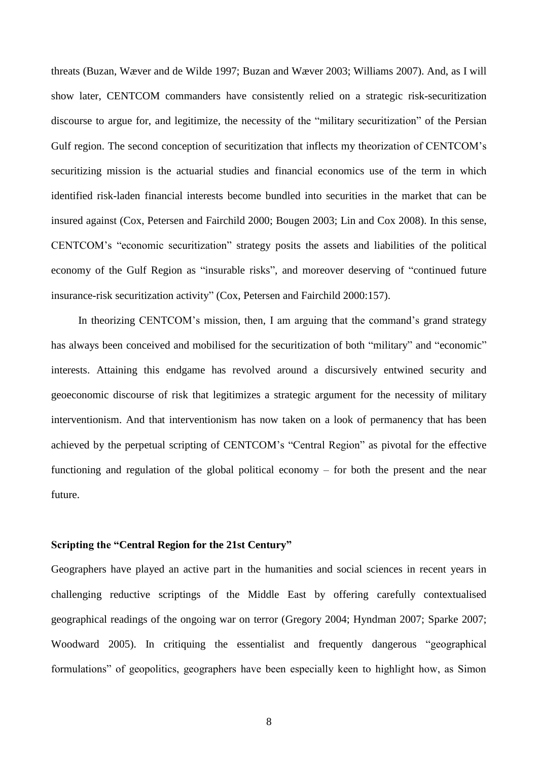threats (Buzan, Wæver and de Wilde 1997; Buzan and Wæver 2003; Williams 2007). And, as I will show later, CENTCOM commanders have consistently relied on a strategic risk-securitization discourse to argue for, and legitimize, the necessity of the "military securitization" of the Persian Gulf region. The second conception of securitization that inflects my theorization of CENTCOM's securitizing mission is the actuarial studies and financial economics use of the term in which identified risk-laden financial interests become bundled into securities in the market that can be insured against (Cox, Petersen and Fairchild 2000; Bougen 2003; Lin and Cox 2008). In this sense, CENTCOM's "economic securitization" strategy posits the assets and liabilities of the political economy of the Gulf Region as "insurable risks", and moreover deserving of "continued future insurance-risk securitization activity" (Cox, Petersen and Fairchild 2000:157).

In theorizing CENTCOM's mission, then, I am arguing that the command's grand strategy has always been conceived and mobilised for the securitization of both "military" and "economic" interests. Attaining this endgame has revolved around a discursively entwined security and geoeconomic discourse of risk that legitimizes a strategic argument for the necessity of military interventionism. And that interventionism has now taken on a look of permanency that has been achieved by the perpetual scripting of CENTCOM's "Central Region" as pivotal for the effective functioning and regulation of the global political economy – for both the present and the near future.

#### **Scripting the "Central Region for the 21st Century"**

Geographers have played an active part in the humanities and social sciences in recent years in challenging reductive scriptings of the Middle East by offering carefully contextualised geographical readings of the ongoing war on terror (Gregory 2004; Hyndman 2007; Sparke 2007; Woodward 2005). In critiquing the essentialist and frequently dangerous "geographical formulations" of geopolitics, geographers have been especially keen to highlight how, as Simon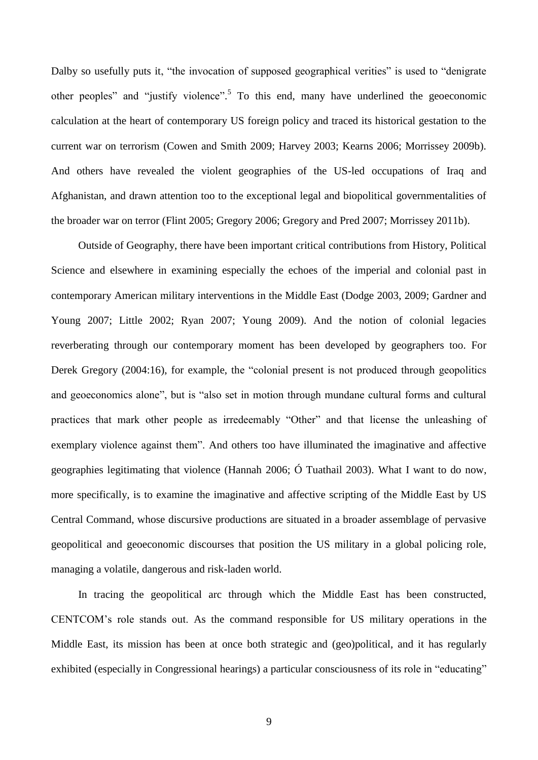Dalby so usefully puts it, "the invocation of supposed geographical verities" is used to "denigrate" other peoples" and "justify violence".<sup>5</sup> To this end, many have underlined the geoeconomic calculation at the heart of contemporary US foreign policy and traced its historical gestation to the current war on terrorism (Cowen and Smith 2009; Harvey 2003; Kearns 2006; Morrissey 2009b). And others have revealed the violent geographies of the US-led occupations of Iraq and Afghanistan, and drawn attention too to the exceptional legal and biopolitical governmentalities of the broader war on terror (Flint 2005; Gregory 2006; Gregory and Pred 2007; Morrissey 2011b).

Outside of Geography, there have been important critical contributions from History, Political Science and elsewhere in examining especially the echoes of the imperial and colonial past in contemporary American military interventions in the Middle East (Dodge 2003, 2009; Gardner and Young 2007; Little 2002; Ryan 2007; Young 2009). And the notion of colonial legacies reverberating through our contemporary moment has been developed by geographers too. For Derek Gregory (2004:16), for example, the "colonial present is not produced through geopolitics and geoeconomics alone", but is "also set in motion through mundane cultural forms and cultural practices that mark other people as irredeemably "Other" and that license the unleashing of exemplary violence against them". And others too have illuminated the imaginative and affective geographies legitimating that violence (Hannah 2006; Ó Tuathail 2003). What I want to do now, more specifically, is to examine the imaginative and affective scripting of the Middle East by US Central Command, whose discursive productions are situated in a broader assemblage of pervasive geopolitical and geoeconomic discourses that position the US military in a global policing role, managing a volatile, dangerous and risk-laden world.

In tracing the geopolitical arc through which the Middle East has been constructed, CENTCOM's role stands out. As the command responsible for US military operations in the Middle East, its mission has been at once both strategic and (geo)political, and it has regularly exhibited (especially in Congressional hearings) a particular consciousness of its role in "educating"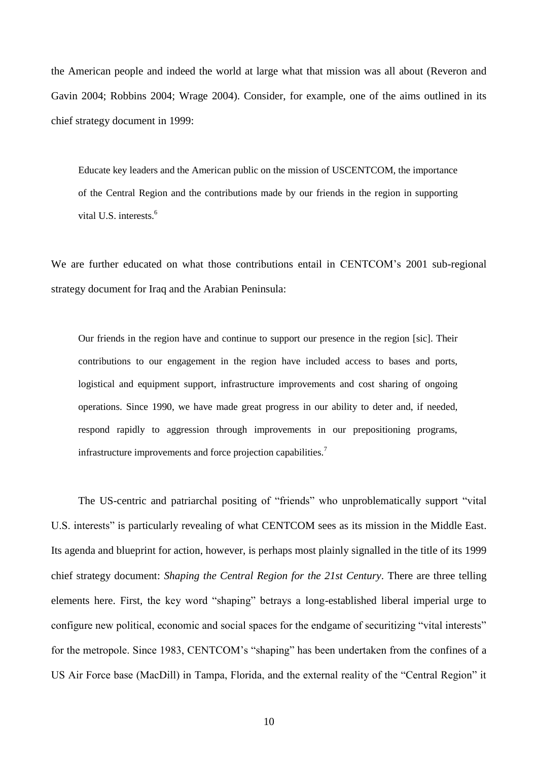the American people and indeed the world at large what that mission was all about (Reveron and Gavin 2004; Robbins 2004; Wrage 2004). Consider, for example, one of the aims outlined in its chief strategy document in 1999:

Educate key leaders and the American public on the mission of USCENTCOM, the importance of the Central Region and the contributions made by our friends in the region in supporting vital U.S. interests.<sup>6</sup>

We are further educated on what those contributions entail in CENTCOM's 2001 sub-regional strategy document for Iraq and the Arabian Peninsula:

Our friends in the region have and continue to support our presence in the region [sic]. Their contributions to our engagement in the region have included access to bases and ports, logistical and equipment support, infrastructure improvements and cost sharing of ongoing operations. Since 1990, we have made great progress in our ability to deter and, if needed, respond rapidly to aggression through improvements in our prepositioning programs, infrastructure improvements and force projection capabilities.<sup>7</sup>

The US-centric and patriarchal positing of "friends" who unproblematically support "vital U.S. interests" is particularly revealing of what CENTCOM sees as its mission in the Middle East. Its agenda and blueprint for action, however, is perhaps most plainly signalled in the title of its 1999 chief strategy document: *Shaping the Central Region for the 21st Century*. There are three telling elements here. First, the key word "shaping" betrays a long-established liberal imperial urge to configure new political, economic and social spaces for the endgame of securitizing "vital interests" for the metropole. Since 1983, CENTCOM's "shaping" has been undertaken from the confines of a US Air Force base (MacDill) in Tampa, Florida, and the external reality of the "Central Region" it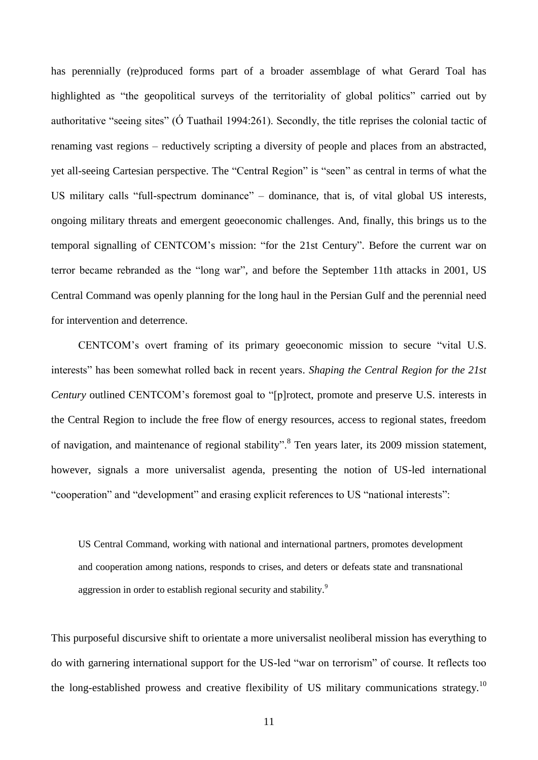has perennially (re)produced forms part of a broader assemblage of what Gerard Toal has highlighted as "the geopolitical surveys of the territoriality of global politics" carried out by authoritative "seeing sites" (Ó Tuathail 1994:261). Secondly, the title reprises the colonial tactic of renaming vast regions – reductively scripting a diversity of people and places from an abstracted, yet all-seeing Cartesian perspective. The "Central Region" is "seen" as central in terms of what the US military calls "full-spectrum dominance" – dominance, that is, of vital global US interests, ongoing military threats and emergent geoeconomic challenges. And, finally, this brings us to the temporal signalling of CENTCOM's mission: "for the 21st Century". Before the current war on terror became rebranded as the "long war", and before the September 11th attacks in 2001, US Central Command was openly planning for the long haul in the Persian Gulf and the perennial need for intervention and deterrence.

CENTCOM's overt framing of its primary geoeconomic mission to secure "vital U.S. interests" has been somewhat rolled back in recent years. *Shaping the Central Region for the 21st Century* outlined CENTCOM's foremost goal to "[p]rotect, promote and preserve U.S. interests in the Central Region to include the free flow of energy resources, access to regional states, freedom of navigation, and maintenance of regional stability".<sup>8</sup> Ten years later, its 2009 mission statement, however, signals a more universalist agenda, presenting the notion of US-led international "cooperation" and "development" and erasing explicit references to US "national interests":

US Central Command, working with national and international partners, promotes development and cooperation among nations, responds to crises, and deters or defeats state and transnational aggression in order to establish regional security and stability.<sup>9</sup>

This purposeful discursive shift to orientate a more universalist neoliberal mission has everything to do with garnering international support for the US-led "war on terrorism" of course. It reflects too the long-established prowess and creative flexibility of US military communications strategy.<sup>10</sup>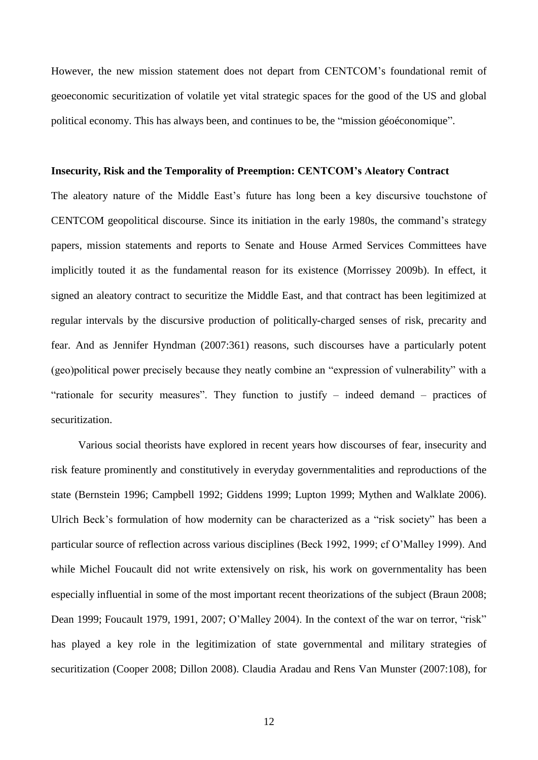However, the new mission statement does not depart from CENTCOM's foundational remit of geoeconomic securitization of volatile yet vital strategic spaces for the good of the US and global political economy. This has always been, and continues to be, the "mission géoéconomique".

#### **Insecurity, Risk and the Temporality of Preemption: CENTCOM's Aleatory Contract**

The aleatory nature of the Middle East's future has long been a key discursive touchstone of CENTCOM geopolitical discourse. Since its initiation in the early 1980s, the command's strategy papers, mission statements and reports to Senate and House Armed Services Committees have implicitly touted it as the fundamental reason for its existence (Morrissey 2009b). In effect, it signed an aleatory contract to securitize the Middle East, and that contract has been legitimized at regular intervals by the discursive production of politically-charged senses of risk, precarity and fear. And as Jennifer Hyndman (2007:361) reasons, such discourses have a particularly potent (geo)political power precisely because they neatly combine an "expression of vulnerability" with a "rationale for security measures". They function to justify – indeed demand – practices of securitization.

Various social theorists have explored in recent years how discourses of fear, insecurity and risk feature prominently and constitutively in everyday governmentalities and reproductions of the state (Bernstein 1996; Campbell 1992; Giddens 1999; Lupton 1999; Mythen and Walklate 2006). Ulrich Beck's formulation of how modernity can be characterized as a "risk society" has been a particular source of reflection across various disciplines (Beck 1992, 1999; cf O'Malley 1999). And while Michel Foucault did not write extensively on risk, his work on governmentality has been especially influential in some of the most important recent theorizations of the subject (Braun 2008; Dean 1999; Foucault 1979, 1991, 2007; O'Malley 2004). In the context of the war on terror, "risk" has played a key role in the legitimization of state governmental and military strategies of securitization (Cooper 2008; Dillon 2008). Claudia Aradau and Rens Van Munster (2007:108), for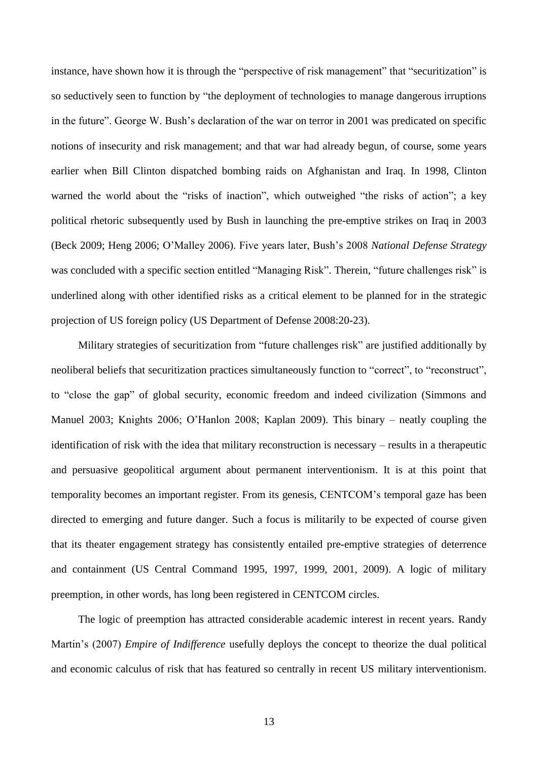instance, have shown how it is through the "perspective of risk management" that "securitization" is so seductively seen to function by "the deployment of technologies to manage dangerous irruptions in the future". George W. Bush's declaration of the war on terror in 2001 was predicated on specific notions of insecurity and risk management; and that war had already begun, of course, some years earlier when Bill Clinton dispatched bombing raids on Afghanistan and Iraq. In 1998, Clinton warned the world about the "risks of inaction", which outweighed "the risks of action"; a key political rhetoric subsequently used by Bush in launching the pre-emptive strikes on Iraq in 2003 (Beck 2009; Heng 2006; O'Malley 2006). Five years later, Bush's 2008 *National Defense Strategy* was concluded with a specific section entitled "Managing Risk". Therein, "future challenges risk" is underlined along with other identified risks as a critical element to be planned for in the strategic projection of US foreign policy (US Department of Defense 2008:20-23).

Military strategies of securitization from "future challenges risk" are justified additionally by neoliberal beliefs that securitization practices simultaneously function to "correct", to "reconstruct", to "close the gap" of global security, economic freedom and indeed civilization (Simmons and Manuel 2003; Knights 2006; O'Hanlon 2008; Kaplan 2009). This binary – neatly coupling the identification of risk with the idea that military reconstruction is necessary – results in a therapeutic and persuasive geopolitical argument about permanent interventionism. It is at this point that temporality becomes an important register. From its genesis, CENTCOM's temporal gaze has been directed to emerging and future danger. Such a focus is militarily to be expected of course given that its theater engagement strategy has consistently entailed pre-emptive strategies of deterrence and containment (US Central Command 1995, 1997, 1999, 2001, 2009). A logic of military preemption, in other words, has long been registered in CENTCOM circles.

The logic of preemption has attracted considerable academic interest in recent years. Randy Martin's (2007) *Empire of Indifference* usefully deploys the concept to theorize the dual political and economic calculus of risk that has featured so centrally in recent US military interventionism.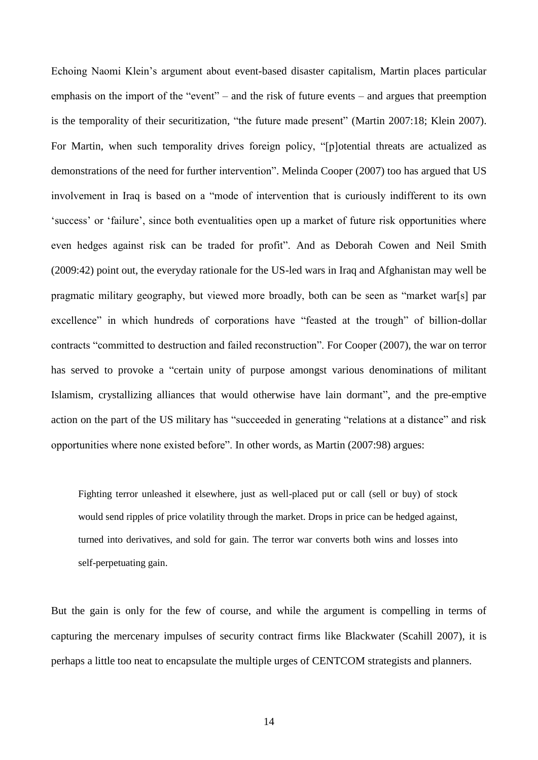Echoing Naomi Klein's argument about event-based disaster capitalism, Martin places particular emphasis on the import of the "event" – and the risk of future events – and argues that preemption is the temporality of their securitization, "the future made present" (Martin 2007:18; Klein 2007). For Martin, when such temporality drives foreign policy, "[p]otential threats are actualized as demonstrations of the need for further intervention". Melinda Cooper (2007) too has argued that US involvement in Iraq is based on a "mode of intervention that is curiously indifferent to its own 'success' or 'failure', since both eventualities open up a market of future risk opportunities where even hedges against risk can be traded for profit". And as Deborah Cowen and Neil Smith (2009:42) point out, the everyday rationale for the US-led wars in Iraq and Afghanistan may well be pragmatic military geography, but viewed more broadly, both can be seen as "market war[s] par excellence" in which hundreds of corporations have "feasted at the trough" of billion-dollar contracts "committed to destruction and failed reconstruction". For Cooper (2007), the war on terror has served to provoke a "certain unity of purpose amongst various denominations of militant Islamism, crystallizing alliances that would otherwise have lain dormant", and the pre-emptive action on the part of the US military has "succeeded in generating "relations at a distance" and risk opportunities where none existed before". In other words, as Martin (2007:98) argues:

Fighting terror unleashed it elsewhere, just as well-placed put or call (sell or buy) of stock would send ripples of price volatility through the market. Drops in price can be hedged against, turned into derivatives, and sold for gain. The terror war converts both wins and losses into self-perpetuating gain.

But the gain is only for the few of course, and while the argument is compelling in terms of capturing the mercenary impulses of security contract firms like Blackwater (Scahill 2007), it is perhaps a little too neat to encapsulate the multiple urges of CENTCOM strategists and planners.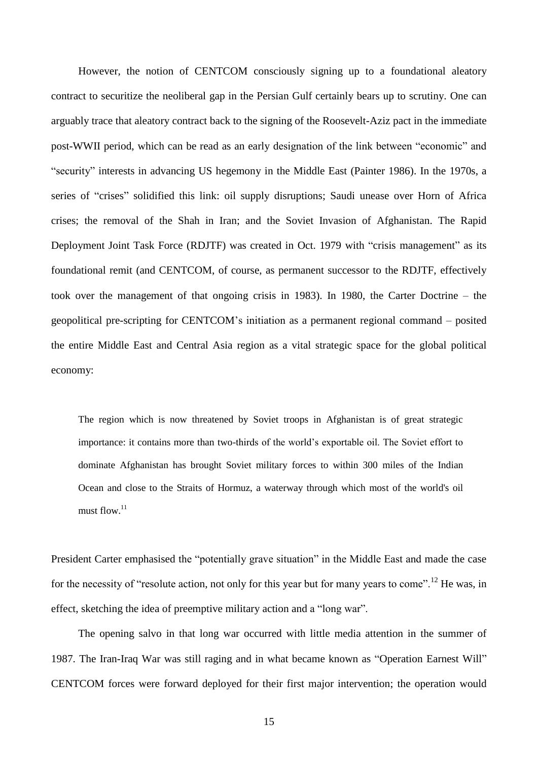However, the notion of CENTCOM consciously signing up to a foundational aleatory contract to securitize the neoliberal gap in the Persian Gulf certainly bears up to scrutiny. One can arguably trace that aleatory contract back to the signing of the Roosevelt-Aziz pact in the immediate post-WWII period, which can be read as an early designation of the link between "economic" and "security" interests in advancing US hegemony in the Middle East (Painter 1986). In the 1970s, a series of "crises" solidified this link: oil supply disruptions; Saudi unease over Horn of Africa crises; the removal of the Shah in Iran; and the Soviet Invasion of Afghanistan. The Rapid Deployment Joint Task Force (RDJTF) was created in Oct. 1979 with "crisis management" as its foundational remit (and CENTCOM, of course, as permanent successor to the RDJTF, effectively took over the management of that ongoing crisis in 1983). In 1980, the Carter Doctrine – the geopolitical pre-scripting for CENTCOM's initiation as a permanent regional command – posited the entire Middle East and Central Asia region as a vital strategic space for the global political economy:

The region which is now threatened by Soviet troops in Afghanistan is of great strategic importance: it contains more than two-thirds of the world's exportable oil. The Soviet effort to dominate Afghanistan has brought Soviet military forces to within 300 miles of the Indian Ocean and close to the Straits of Hormuz, a waterway through which most of the world's oil must flow. 11

President Carter emphasised the "potentially grave situation" in the Middle East and made the case for the necessity of "resolute action, not only for this year but for many years to come".<sup>12</sup> He was, in effect, sketching the idea of preemptive military action and a "long war".

The opening salvo in that long war occurred with little media attention in the summer of 1987. The Iran-Iraq War was still raging and in what became known as "Operation Earnest Will" CENTCOM forces were forward deployed for their first major intervention; the operation would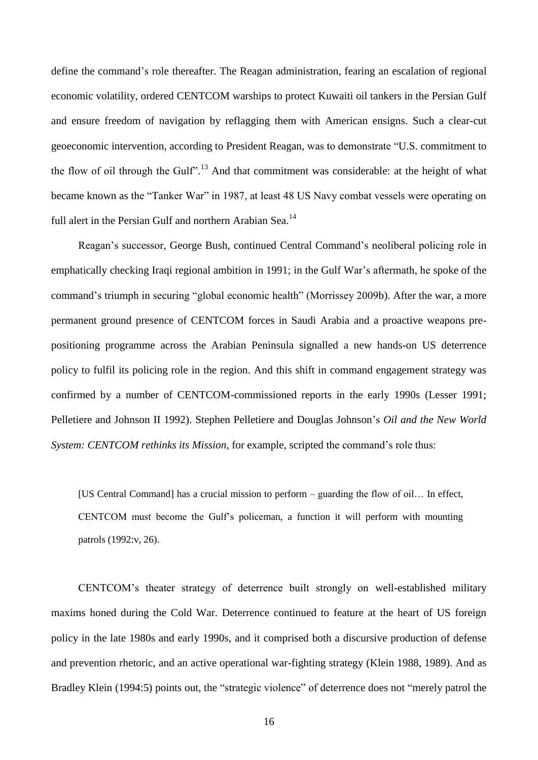define the command's role thereafter. The Reagan administration, fearing an escalation of regional economic volatility, ordered CENTCOM warships to protect Kuwaiti oil tankers in the Persian Gulf and ensure freedom of navigation by reflagging them with American ensigns. Such a clear-cut geoeconomic intervention, according to President Reagan, was to demonstrate "U.S. commitment to the flow of oil through the Gulf".<sup>13</sup> And that commitment was considerable: at the height of what became known as the "Tanker War" in 1987, at least 48 US Navy combat vessels were operating on full alert in the Persian Gulf and northern Arabian Sea.<sup>14</sup>

Reagan's successor, George Bush, continued Central Command's neoliberal policing role in emphatically checking Iraqi regional ambition in 1991; in the Gulf War's aftermath, he spoke of the command's triumph in securing "global economic health" (Morrissey 2009b). After the war, a more permanent ground presence of CENTCOM forces in Saudi Arabia and a proactive weapons prepositioning programme across the Arabian Peninsula signalled a new hands-on US deterrence policy to fulfil its policing role in the region. And this shift in command engagement strategy was confirmed by a number of CENTCOM-commissioned reports in the early 1990s (Lesser 1991; Pelletiere and Johnson II 1992). Stephen Pelletiere and Douglas Johnson's *Oil and the New World System: CENTCOM rethinks its Mission*, for example, scripted the command's role thus:

[US Central Command] has a crucial mission to perform – guarding the flow of oil… In effect, CENTCOM must become the Gulf's policeman, a function it will perform with mounting patrols (1992:v, 26).

CENTCOM's theater strategy of deterrence built strongly on well-established military maxims honed during the Cold War. Deterrence continued to feature at the heart of US foreign policy in the late 1980s and early 1990s, and it comprised both a discursive production of defense and prevention rhetoric, and an active operational war-fighting strategy (Klein 1988, 1989). And as Bradley Klein (1994:5) points out, the "strategic violence" of deterrence does not "merely patrol the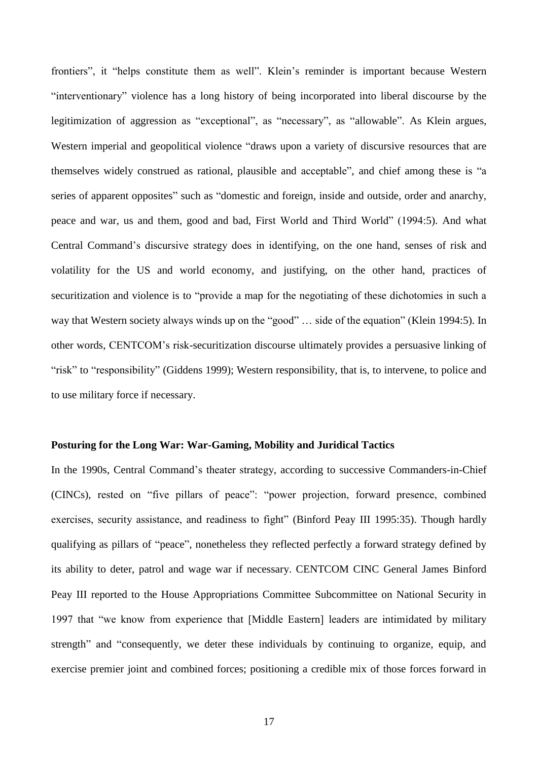frontiers", it "helps constitute them as well". Klein's reminder is important because Western "interventionary" violence has a long history of being incorporated into liberal discourse by the legitimization of aggression as "exceptional", as "necessary", as "allowable". As Klein argues, Western imperial and geopolitical violence "draws upon a variety of discursive resources that are themselves widely construed as rational, plausible and acceptable", and chief among these is "a series of apparent opposites" such as "domestic and foreign, inside and outside, order and anarchy, peace and war, us and them, good and bad, First World and Third World" (1994:5). And what Central Command's discursive strategy does in identifying, on the one hand, senses of risk and volatility for the US and world economy, and justifying, on the other hand, practices of securitization and violence is to "provide a map for the negotiating of these dichotomies in such a way that Western society always winds up on the "good" … side of the equation" (Klein 1994:5). In other words, CENTCOM's risk-securitization discourse ultimately provides a persuasive linking of "risk" to "responsibility" (Giddens 1999); Western responsibility, that is, to intervene, to police and to use military force if necessary.

# **Posturing for the Long War: War-Gaming, Mobility and Juridical Tactics**

In the 1990s, Central Command's theater strategy, according to successive Commanders-in-Chief (CINCs), rested on "five pillars of peace": "power projection, forward presence, combined exercises, security assistance, and readiness to fight" (Binford Peay III 1995:35). Though hardly qualifying as pillars of "peace", nonetheless they reflected perfectly a forward strategy defined by its ability to deter, patrol and wage war if necessary. CENTCOM CINC General James Binford Peay III reported to the House Appropriations Committee Subcommittee on National Security in 1997 that "we know from experience that [Middle Eastern] leaders are intimidated by military strength" and "consequently, we deter these individuals by continuing to organize, equip, and exercise premier joint and combined forces; positioning a credible mix of those forces forward in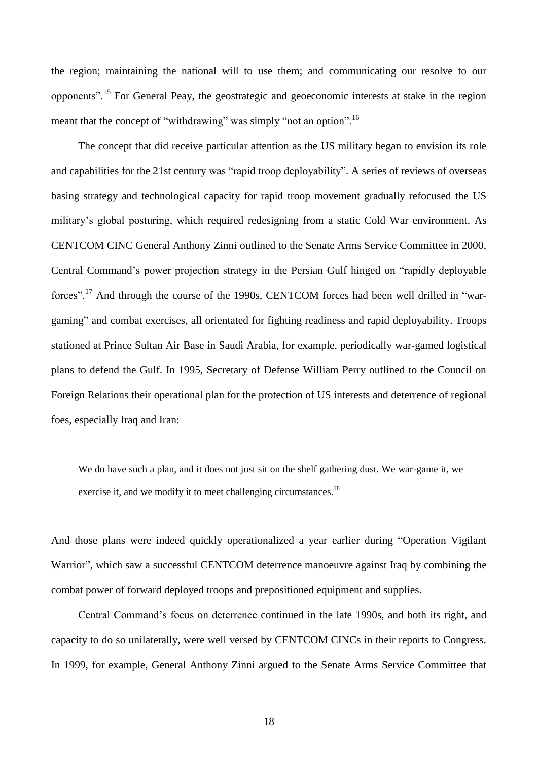the region; maintaining the national will to use them; and communicating our resolve to our opponents".<sup>15</sup> For General Peay, the geostrategic and geoeconomic interests at stake in the region meant that the concept of "withdrawing" was simply "not an option".<sup>16</sup>

The concept that did receive particular attention as the US military began to envision its role and capabilities for the 21st century was "rapid troop deployability". A series of reviews of overseas basing strategy and technological capacity for rapid troop movement gradually refocused the US military's global posturing, which required redesigning from a static Cold War environment. As CENTCOM CINC General Anthony Zinni outlined to the Senate Arms Service Committee in 2000, Central Command's power projection strategy in the Persian Gulf hinged on "rapidly deployable forces".<sup>17</sup> And through the course of the 1990s, CENTCOM forces had been well drilled in "wargaming" and combat exercises, all orientated for fighting readiness and rapid deployability. Troops stationed at Prince Sultan Air Base in Saudi Arabia, for example, periodically war-gamed logistical plans to defend the Gulf. In 1995, Secretary of Defense William Perry outlined to the Council on Foreign Relations their operational plan for the protection of US interests and deterrence of regional foes, especially Iraq and Iran:

We do have such a plan, and it does not just sit on the shelf gathering dust. We war-game it, we exercise it, and we modify it to meet challenging circumstances.<sup>18</sup>

And those plans were indeed quickly operationalized a year earlier during "Operation Vigilant Warrior", which saw a successful CENTCOM deterrence manoeuvre against Iraq by combining the combat power of forward deployed troops and prepositioned equipment and supplies.

Central Command's focus on deterrence continued in the late 1990s, and both its right, and capacity to do so unilaterally, were well versed by CENTCOM CINCs in their reports to Congress. In 1999, for example, General Anthony Zinni argued to the Senate Arms Service Committee that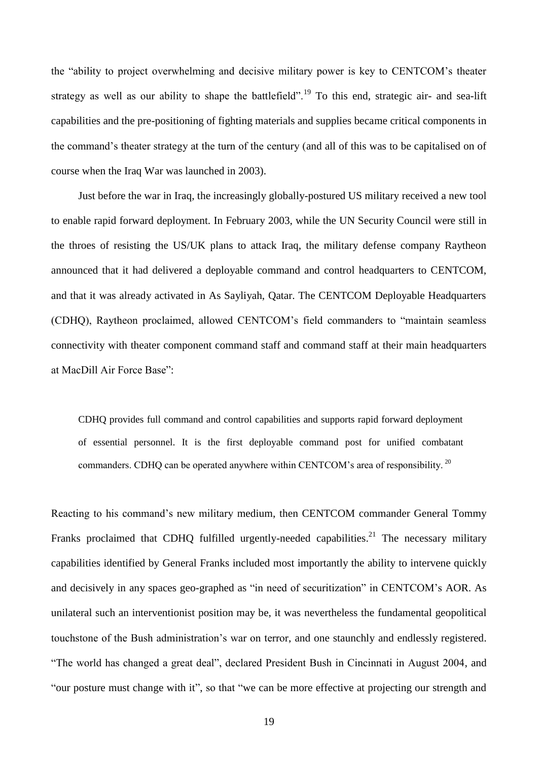the "ability to project overwhelming and decisive military power is key to CENTCOM's theater strategy as well as our ability to shape the battlefield".<sup>19</sup> To this end, strategic air- and sea-lift capabilities and the pre-positioning of fighting materials and supplies became critical components in the command's theater strategy at the turn of the century (and all of this was to be capitalised on of course when the Iraq War was launched in 2003).

Just before the war in Iraq, the increasingly globally-postured US military received a new tool to enable rapid forward deployment. In February 2003, while the UN Security Council were still in the throes of resisting the US/UK plans to attack Iraq, the military defense company Raytheon announced that it had delivered a deployable command and control headquarters to CENTCOM, and that it was already activated in As Sayliyah, Qatar. The CENTCOM Deployable Headquarters (CDHQ), Raytheon proclaimed, allowed CENTCOM's field commanders to "maintain seamless connectivity with theater component command staff and command staff at their main headquarters at MacDill Air Force Base":

CDHQ provides full command and control capabilities and supports rapid forward deployment of essential personnel. It is the first deployable command post for unified combatant commanders. CDHQ can be operated anywhere within CENTCOM's area of responsibility. <sup>20</sup>

Reacting to his command's new military medium, then CENTCOM commander General Tommy Franks proclaimed that CDHQ fulfilled urgently-needed capabilities.<sup>21</sup> The necessary military capabilities identified by General Franks included most importantly the ability to intervene quickly and decisively in any spaces geo-graphed as "in need of securitization" in CENTCOM's AOR. As unilateral such an interventionist position may be, it was nevertheless the fundamental geopolitical touchstone of the Bush administration's war on terror, and one staunchly and endlessly registered. "The world has changed a great deal", declared President Bush in Cincinnati in August 2004, and "our posture must change with it", so that "we can be more effective at projecting our strength and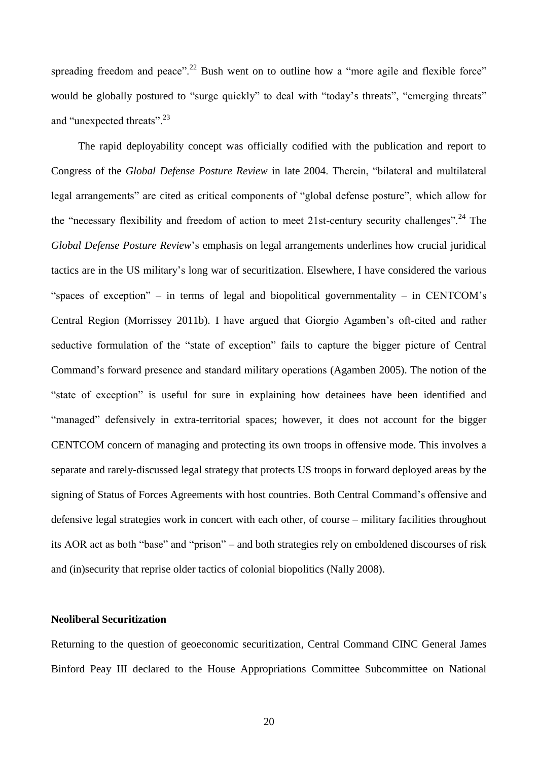spreading freedom and peace".<sup>22</sup> Bush went on to outline how a "more agile and flexible force" would be globally postured to "surge quickly" to deal with "today's threats", "emerging threats" and "unexpected threats".<sup>23</sup>

The rapid deployability concept was officially codified with the publication and report to Congress of the *Global Defense Posture Review* in late 2004. Therein, "bilateral and multilateral legal arrangements" are cited as critical components of "global defense posture", which allow for the "necessary flexibility and freedom of action to meet 21st-century security challenges".<sup>24</sup> The *Global Defense Posture Review*'s emphasis on legal arrangements underlines how crucial juridical tactics are in the US military's long war of securitization. Elsewhere, I have considered the various "spaces of exception" – in terms of legal and biopolitical governmentality – in CENTCOM's Central Region (Morrissey 2011b). I have argued that Giorgio Agamben's oft-cited and rather seductive formulation of the "state of exception" fails to capture the bigger picture of Central Command's forward presence and standard military operations (Agamben 2005). The notion of the "state of exception" is useful for sure in explaining how detainees have been identified and "managed" defensively in extra-territorial spaces; however, it does not account for the bigger CENTCOM concern of managing and protecting its own troops in offensive mode. This involves a separate and rarely-discussed legal strategy that protects US troops in forward deployed areas by the signing of Status of Forces Agreements with host countries. Both Central Command's offensive and defensive legal strategies work in concert with each other, of course – military facilities throughout its AOR act as both "base" and "prison" – and both strategies rely on emboldened discourses of risk and (in)security that reprise older tactics of colonial biopolitics (Nally 2008).

## **Neoliberal Securitization**

Returning to the question of geoeconomic securitization, Central Command CINC General James Binford Peay III declared to the House Appropriations Committee Subcommittee on National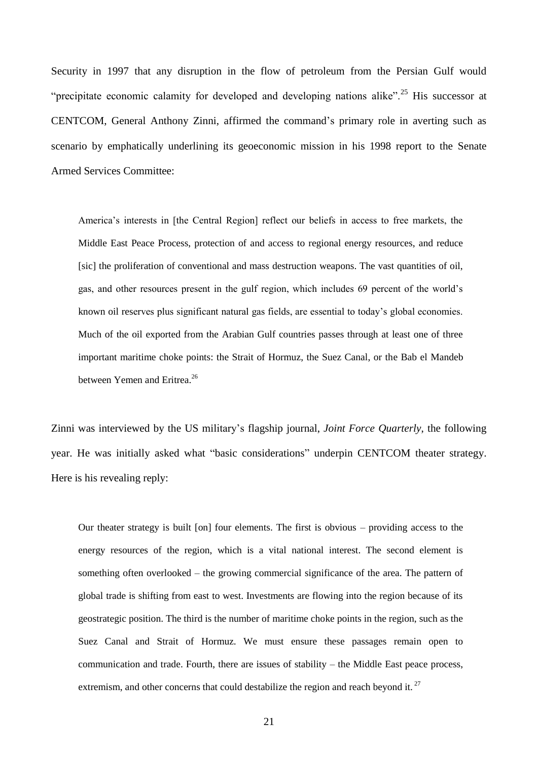Security in 1997 that any disruption in the flow of petroleum from the Persian Gulf would "precipitate economic calamity for developed and developing nations alike".<sup>25</sup> His successor at CENTCOM, General Anthony Zinni, affirmed the command's primary role in averting such as scenario by emphatically underlining its geoeconomic mission in his 1998 report to the Senate Armed Services Committee:

America's interests in [the Central Region] reflect our beliefs in access to free markets, the Middle East Peace Process, protection of and access to regional energy resources, and reduce [sic] the proliferation of conventional and mass destruction weapons. The vast quantities of oil, gas, and other resources present in the gulf region, which includes 69 percent of the world's known oil reserves plus significant natural gas fields, are essential to today's global economies. Much of the oil exported from the Arabian Gulf countries passes through at least one of three important maritime choke points: the Strait of Hormuz, the Suez Canal, or the Bab el Mandeb between Yemen and Eritrea.<sup>26</sup>

Zinni was interviewed by the US military's flagship journal, *Joint Force Quarterly*, the following year. He was initially asked what "basic considerations" underpin CENTCOM theater strategy. Here is his revealing reply:

Our theater strategy is built [on] four elements. The first is obvious – providing access to the energy resources of the region, which is a vital national interest. The second element is something often overlooked – the growing commercial significance of the area. The pattern of global trade is shifting from east to west. Investments are flowing into the region because of its geostrategic position. The third is the number of maritime choke points in the region, such as the Suez Canal and Strait of Hormuz. We must ensure these passages remain open to communication and trade. Fourth, there are issues of stability – the Middle East peace process, extremism, and other concerns that could destabilize the region and reach beyond it.<sup>27</sup>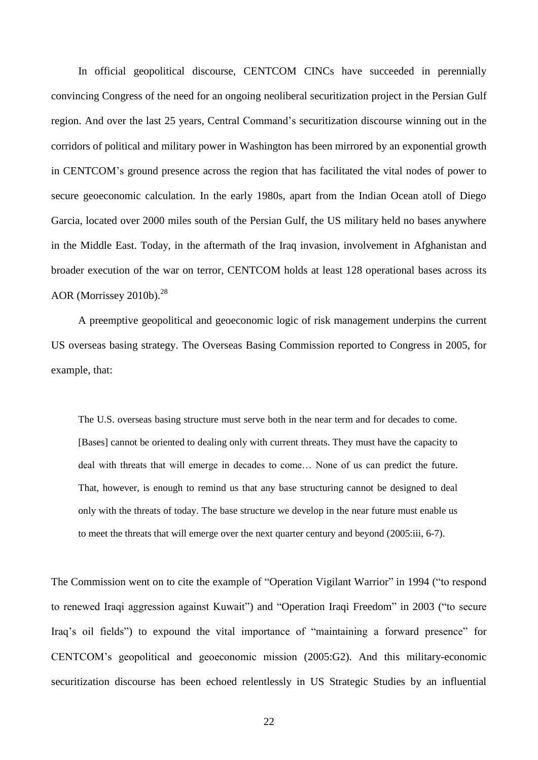In official geopolitical discourse, CENTCOM CINCs have succeeded in perennially convincing Congress of the need for an ongoing neoliberal securitization project in the Persian Gulf region. And over the last 25 years, Central Command's securitization discourse winning out in the corridors of political and military power in Washington has been mirrored by an exponential growth in CENTCOM's ground presence across the region that has facilitated the vital nodes of power to secure geoeconomic calculation. In the early 1980s, apart from the Indian Ocean atoll of Diego Garcia, located over 2000 miles south of the Persian Gulf, the US military held no bases anywhere in the Middle East. Today, in the aftermath of the Iraq invasion, involvement in Afghanistan and broader execution of the war on terror, CENTCOM holds at least 128 operational bases across its AOR (Morrissey 2010b).<sup>28</sup>

A preemptive geopolitical and geoeconomic logic of risk management underpins the current US overseas basing strategy. The Overseas Basing Commission reported to Congress in 2005, for example, that:

The U.S. overseas basing structure must serve both in the near term and for decades to come. [Bases] cannot be oriented to dealing only with current threats. They must have the capacity to deal with threats that will emerge in decades to come… None of us can predict the future. That, however, is enough to remind us that any base structuring cannot be designed to deal only with the threats of today. The base structure we develop in the near future must enable us to meet the threats that will emerge over the next quarter century and beyond (2005:iii, 6-7).

The Commission went on to cite the example of "Operation Vigilant Warrior" in 1994 ("to respond to renewed Iraqi aggression against Kuwait") and "Operation Iraqi Freedom" in 2003 ("to secure Iraq's oil fields") to expound the vital importance of "maintaining a forward presence" for CENTCOM's geopolitical and geoeconomic mission (2005:G2). And this military-economic securitization discourse has been echoed relentlessly in US Strategic Studies by an influential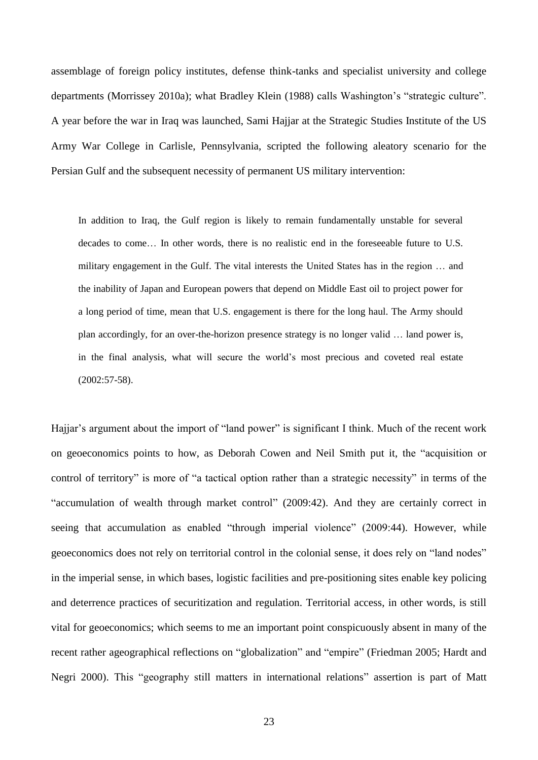assemblage of foreign policy institutes, defense think-tanks and specialist university and college departments (Morrissey 2010a); what Bradley Klein (1988) calls Washington's "strategic culture". A year before the war in Iraq was launched, Sami Hajjar at the Strategic Studies Institute of the US Army War College in Carlisle, Pennsylvania, scripted the following aleatory scenario for the Persian Gulf and the subsequent necessity of permanent US military intervention:

In addition to Iraq, the Gulf region is likely to remain fundamentally unstable for several decades to come… In other words, there is no realistic end in the foreseeable future to U.S. military engagement in the Gulf. The vital interests the United States has in the region … and the inability of Japan and European powers that depend on Middle East oil to project power for a long period of time, mean that U.S. engagement is there for the long haul. The Army should plan accordingly, for an over-the-horizon presence strategy is no longer valid … land power is, in the final analysis, what will secure the world's most precious and coveted real estate (2002:57-58).

Hajjar's argument about the import of "land power" is significant I think. Much of the recent work on geoeconomics points to how, as Deborah Cowen and Neil Smith put it, the "acquisition or control of territory" is more of "a tactical option rather than a strategic necessity" in terms of the "accumulation of wealth through market control" (2009:42). And they are certainly correct in seeing that accumulation as enabled "through imperial violence" (2009:44). However, while geoeconomics does not rely on territorial control in the colonial sense, it does rely on "land nodes" in the imperial sense, in which bases, logistic facilities and pre-positioning sites enable key policing and deterrence practices of securitization and regulation. Territorial access, in other words, is still vital for geoeconomics; which seems to me an important point conspicuously absent in many of the recent rather ageographical reflections on "globalization" and "empire" (Friedman 2005; Hardt and Negri 2000). This "geography still matters in international relations" assertion is part of Matt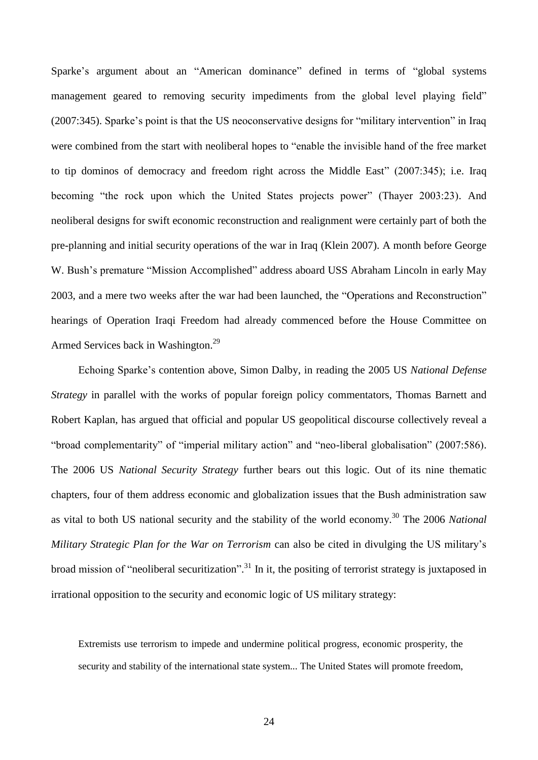Sparke's argument about an "American dominance" defined in terms of "global systems management geared to removing security impediments from the global level playing field" (2007:345). Sparke's point is that the US neoconservative designs for "military intervention" in Iraq were combined from the start with neoliberal hopes to "enable the invisible hand of the free market to tip dominos of democracy and freedom right across the Middle East" (2007:345); i.e. Iraq becoming "the rock upon which the United States projects power" (Thayer 2003:23). And neoliberal designs for swift economic reconstruction and realignment were certainly part of both the pre-planning and initial security operations of the war in Iraq (Klein 2007). A month before George W. Bush's premature "Mission Accomplished" address aboard USS Abraham Lincoln in early May 2003, and a mere two weeks after the war had been launched, the "Operations and Reconstruction" hearings of Operation Iraqi Freedom had already commenced before the House Committee on Armed Services back in Washington.<sup>29</sup>

Echoing Sparke's contention above, Simon Dalby, in reading the 2005 US *National Defense Strategy* in parallel with the works of popular foreign policy commentators, Thomas Barnett and Robert Kaplan, has argued that official and popular US geopolitical discourse collectively reveal a "broad complementarity" of "imperial military action" and "neo-liberal globalisation" (2007:586). The 2006 US *National Security Strategy* further bears out this logic. Out of its nine thematic chapters, four of them address economic and globalization issues that the Bush administration saw as vital to both US national security and the stability of the world economy. <sup>30</sup> The 2006 *National Military Strategic Plan for the War on Terrorism* can also be cited in divulging the US military's broad mission of "neoliberal securitization".<sup>31</sup> In it, the positing of terrorist strategy is juxtaposed in irrational opposition to the security and economic logic of US military strategy:

Extremists use terrorism to impede and undermine political progress, economic prosperity, the security and stability of the international state system... The United States will promote freedom,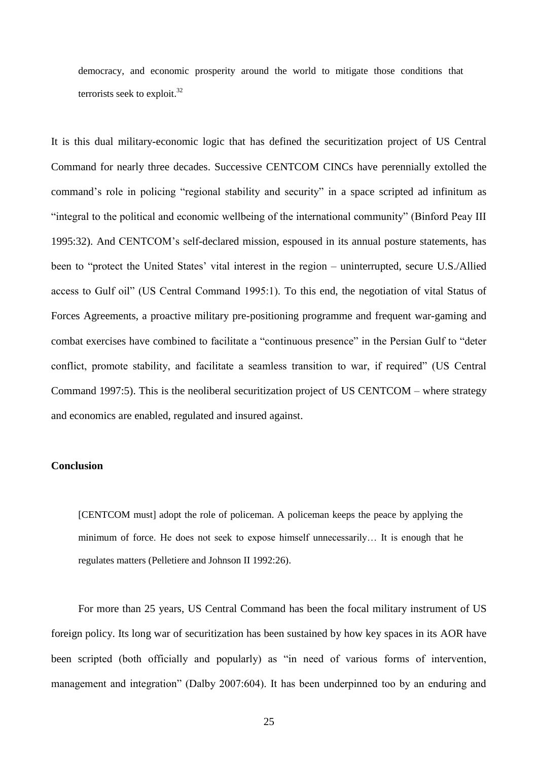democracy, and economic prosperity around the world to mitigate those conditions that terrorists seek to exploit. 32

It is this dual military-economic logic that has defined the securitization project of US Central Command for nearly three decades. Successive CENTCOM CINCs have perennially extolled the command's role in policing "regional stability and security" in a space scripted ad infinitum as "integral to the political and economic wellbeing of the international community" (Binford Peay III 1995:32). And CENTCOM's self-declared mission, espoused in its annual posture statements, has been to "protect the United States' vital interest in the region – uninterrupted, secure U.S./Allied access to Gulf oil" (US Central Command 1995:1). To this end, the negotiation of vital Status of Forces Agreements, a proactive military pre-positioning programme and frequent war-gaming and combat exercises have combined to facilitate a "continuous presence" in the Persian Gulf to "deter conflict, promote stability, and facilitate a seamless transition to war, if required" (US Central Command 1997:5). This is the neoliberal securitization project of US CENTCOM – where strategy and economics are enabled, regulated and insured against.

### **Conclusion**

[CENTCOM must] adopt the role of policeman. A policeman keeps the peace by applying the minimum of force. He does not seek to expose himself unnecessarily… It is enough that he regulates matters (Pelletiere and Johnson II 1992:26).

For more than 25 years, US Central Command has been the focal military instrument of US foreign policy. Its long war of securitization has been sustained by how key spaces in its AOR have been scripted (both officially and popularly) as "in need of various forms of intervention, management and integration" (Dalby 2007:604). It has been underpinned too by an enduring and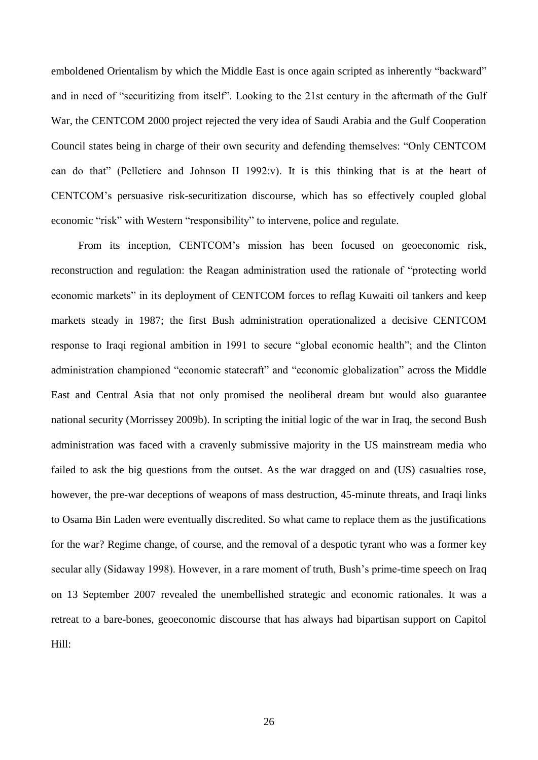emboldened Orientalism by which the Middle East is once again scripted as inherently "backward" and in need of "securitizing from itself". Looking to the 21st century in the aftermath of the Gulf War, the CENTCOM 2000 project rejected the very idea of Saudi Arabia and the Gulf Cooperation Council states being in charge of their own security and defending themselves: "Only CENTCOM can do that" (Pelletiere and Johnson II 1992:v). It is this thinking that is at the heart of CENTCOM's persuasive risk-securitization discourse, which has so effectively coupled global economic "risk" with Western "responsibility" to intervene, police and regulate.

From its inception, CENTCOM's mission has been focused on geoeconomic risk, reconstruction and regulation: the Reagan administration used the rationale of "protecting world economic markets" in its deployment of CENTCOM forces to reflag Kuwaiti oil tankers and keep markets steady in 1987; the first Bush administration operationalized a decisive CENTCOM response to Iraqi regional ambition in 1991 to secure "global economic health"; and the Clinton administration championed "economic statecraft" and "economic globalization" across the Middle East and Central Asia that not only promised the neoliberal dream but would also guarantee national security (Morrissey 2009b). In scripting the initial logic of the war in Iraq, the second Bush administration was faced with a cravenly submissive majority in the US mainstream media who failed to ask the big questions from the outset. As the war dragged on and (US) casualties rose, however, the pre-war deceptions of weapons of mass destruction, 45-minute threats, and Iraqi links to Osama Bin Laden were eventually discredited. So what came to replace them as the justifications for the war? Regime change, of course, and the removal of a despotic tyrant who was a former key secular ally (Sidaway 1998). However, in a rare moment of truth, Bush's prime-time speech on Iraq on 13 September 2007 revealed the unembellished strategic and economic rationales. It was a retreat to a bare-bones, geoeconomic discourse that has always had bipartisan support on Capitol Hill: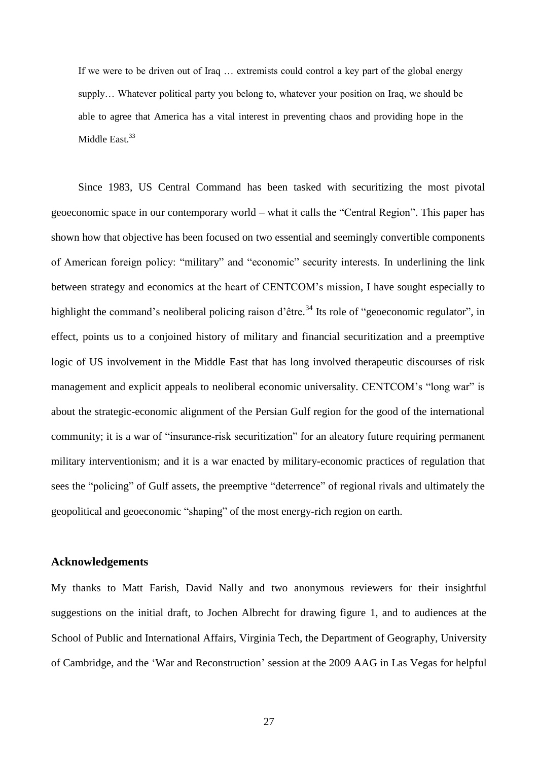If we were to be driven out of Iraq … extremists could control a key part of the global energy supply… Whatever political party you belong to, whatever your position on Iraq, we should be able to agree that America has a vital interest in preventing chaos and providing hope in the Middle East.<sup>33</sup>

Since 1983, US Central Command has been tasked with securitizing the most pivotal geoeconomic space in our contemporary world – what it calls the "Central Region". This paper has shown how that objective has been focused on two essential and seemingly convertible components of American foreign policy: "military" and "economic" security interests. In underlining the link between strategy and economics at the heart of CENTCOM's mission, I have sought especially to highlight the command's neoliberal policing raison d'être.<sup>34</sup> Its role of "geoeconomic regulator", in effect, points us to a conjoined history of military and financial securitization and a preemptive logic of US involvement in the Middle East that has long involved therapeutic discourses of risk management and explicit appeals to neoliberal economic universality. CENTCOM's "long war" is about the strategic-economic alignment of the Persian Gulf region for the good of the international community; it is a war of "insurance-risk securitization" for an aleatory future requiring permanent military interventionism; and it is a war enacted by military-economic practices of regulation that sees the "policing" of Gulf assets, the preemptive "deterrence" of regional rivals and ultimately the geopolitical and geoeconomic "shaping" of the most energy-rich region on earth.

### **Acknowledgements**

My thanks to Matt Farish, David Nally and two anonymous reviewers for their insightful suggestions on the initial draft, to Jochen Albrecht for drawing figure 1, and to audiences at the School of Public and International Affairs, Virginia Tech, the Department of Geography, University of Cambridge, and the 'War and Reconstruction' session at the 2009 AAG in Las Vegas for helpful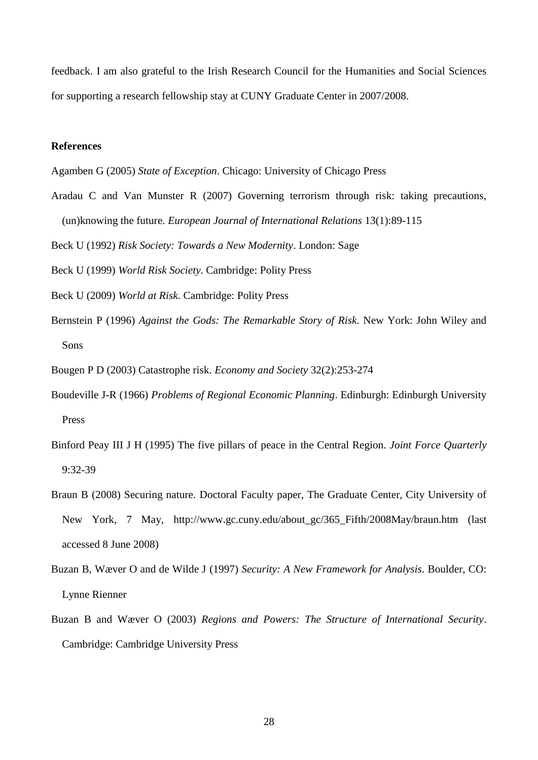feedback. I am also grateful to the Irish Research Council for the Humanities and Social Sciences for supporting a research fellowship stay at CUNY Graduate Center in 2007/2008.

## **References**

Agamben G (2005) *State of Exception*. Chicago: University of Chicago Press

Aradau C and Van Munster R (2007) Governing terrorism through risk: taking precautions, (un)knowing the future. *European Journal of International Relations* 13(1):89-115

Beck U (1992) *Risk Society: Towards a New Modernity*. London: Sage

Beck U (1999) *World Risk Society*. Cambridge: Polity Press

- Beck U (2009) *World at Risk*. Cambridge: Polity Press
- Bernstein P (1996) *Against the Gods: The Remarkable Story of Risk*. New York: John Wiley and Sons

Bougen P D (2003) Catastrophe risk. *Economy and Society* 32(2):253-274

- Boudeville J-R (1966) *Problems of Regional Economic Planning*. Edinburgh: Edinburgh University Press
- Binford Peay III J H (1995) The five pillars of peace in the Central Region. *Joint Force Quarterly* 9:32-39
- Braun B (2008) Securing nature. Doctoral Faculty paper, The Graduate Center, City University of New York, 7 May, http://www.gc.cuny.edu/about\_gc/365\_Fifth/2008May/braun.htm (last accessed 8 June 2008)
- Buzan B, Wæver O and de Wilde J (1997) *Security: A New Framework for Analysis*. Boulder, CO: Lynne Rienner
- Buzan B and Wæver O (2003) *Regions and Powers: The Structure of International Security*. Cambridge: Cambridge University Press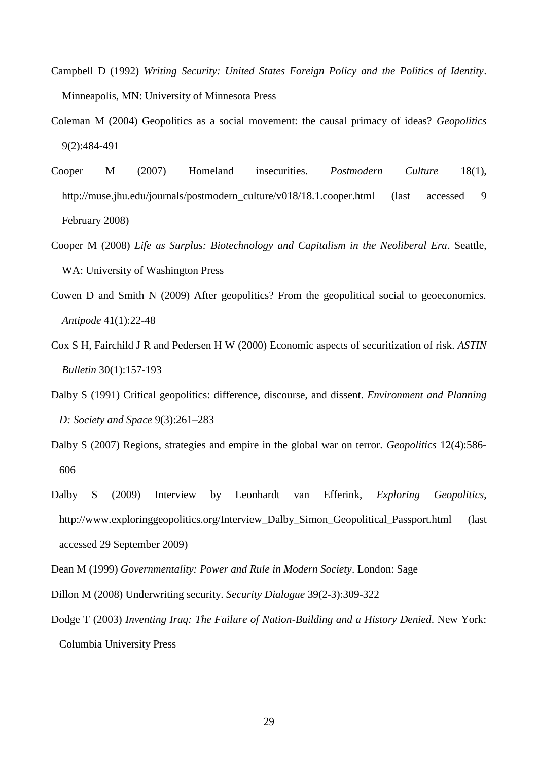- Campbell D (1992) *Writing Security: United States Foreign Policy and the Politics of Identity*. Minneapolis, MN: University of Minnesota Press
- Coleman M (2004) Geopolitics as a social movement: the causal primacy of ideas? *Geopolitics* 9(2):484-491
- Cooper M (2007) Homeland insecurities. *Postmodern Culture* 18(1), http://muse.jhu.edu/journals/postmodern\_culture/v018/18.1.cooper.html (last accessed 9 February 2008)
- Cooper M (2008) *Life as Surplus: Biotechnology and Capitalism in the Neoliberal Era*. Seattle, WA: University of Washington Press
- Cowen D and Smith N (2009) After geopolitics? From the geopolitical social to geoeconomics. *Antipode* 41(1):22-48
- Cox S H, Fairchild J R and Pedersen H W (2000) Economic aspects of securitization of risk. *ASTIN Bulletin* 30(1):157-193
- Dalby S (1991) Critical geopolitics: difference, discourse, and dissent. *Environment and Planning D: Society and Space* 9(3):261–283
- Dalby S (2007) Regions, strategies and empire in the global war on terror. *Geopolitics* 12(4):586- 606
- Dalby S (2009) Interview by Leonhardt van Efferink, *Exploring Geopolitics*, http://www.exploringgeopolitics.org/Interview\_Dalby\_Simon\_Geopolitical\_Passport.html (last accessed 29 September 2009)
- Dean M (1999) *Governmentality: Power and Rule in Modern Society*. London: Sage
- Dillon M (2008) Underwriting security. *Security Dialogue* 39(2-3):309-322
- Dodge T (2003) *Inventing Iraq: The Failure of Nation-Building and a History Denied*. New York: Columbia University Press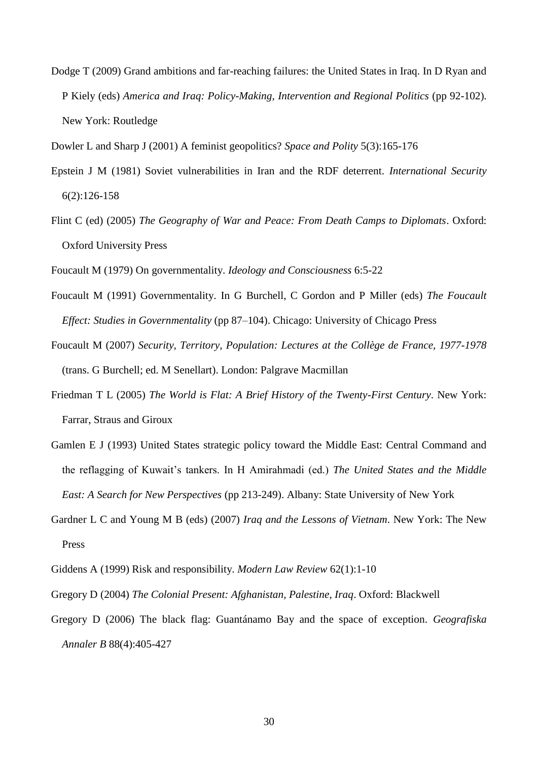Dodge T (2009) Grand ambitions and far-reaching failures: the United States in Iraq. In D Ryan and P Kiely (eds) *America and Iraq: Policy-Making, Intervention and Regional Politics* (pp 92-102). New York: Routledge

Dowler L and Sharp J (2001) A feminist geopolitics? *Space and Polity* 5(3):165-176

- Epstein J M (1981) Soviet vulnerabilities in Iran and the RDF deterrent. *International Security* 6(2):126-158
- Flint C (ed) (2005) *The Geography of War and Peace: From Death Camps to Diplomats*. Oxford: Oxford University Press
- Foucault M (1979) On governmentality. *Ideology and Consciousness* 6:5-22
- Foucault M (1991) Governmentality. In G Burchell, C Gordon and P Miller (eds) *The Foucault Effect: Studies in Governmentality* (pp 87–104). Chicago: University of Chicago Press
- Foucault M (2007) *Security, Territory, Population: Lectures at the Collège de France, 1977-1978* (trans. G Burchell; ed. M Senellart). London: Palgrave Macmillan
- Friedman T L (2005) *The World is Flat: A Brief History of the Twenty-First Century*. New York: Farrar, Straus and Giroux
- Gamlen E J (1993) United States strategic policy toward the Middle East: Central Command and the reflagging of Kuwait's tankers. In H Amirahmadi (ed.) *The United States and the Middle East: A Search for New Perspectives* (pp 213-249). Albany: State University of New York
- Gardner L C and Young M B (eds) (2007) *Iraq and the Lessons of Vietnam*. New York: The New Press
- Giddens A (1999) Risk and responsibility. *Modern Law Review* 62(1):1-10
- Gregory D (2004) *The Colonial Present: Afghanistan, Palestine, Iraq*. Oxford: Blackwell
- Gregory D (2006) The black flag: Guantánamo Bay and the space of exception. *Geografiska Annaler B* 88(4):405-427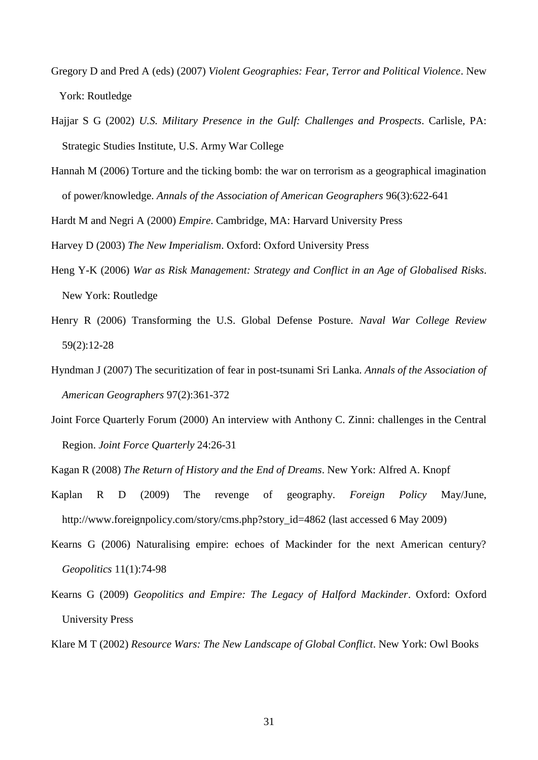- Gregory D and Pred A (eds) (2007) *Violent Geographies: Fear, Terror and Political Violence*. New York: Routledge
- Hajjar S G (2002) *U.S. Military Presence in the Gulf: Challenges and Prospects*. Carlisle, PA: Strategic Studies Institute, U.S. Army War College
- Hannah M (2006) Torture and the ticking bomb: the war on terrorism as a geographical imagination of power/knowledge. *Annals of the Association of American Geographers* 96(3):622-641

Hardt M and Negri A (2000) *Empire*. Cambridge, MA: Harvard University Press

Harvey D (2003) *The New Imperialism*. Oxford: Oxford University Press

- Heng Y-K (2006) *War as Risk Management: Strategy and Conflict in an Age of Globalised Risks*. New York: Routledge
- Henry R (2006) Transforming the U.S. Global Defense Posture. *Naval War College Review* 59(2):12-28
- Hyndman J (2007) The securitization of fear in post-tsunami Sri Lanka. *Annals of the Association of American Geographers* 97(2):361-372
- Joint Force Quarterly Forum (2000) An interview with Anthony C. Zinni: challenges in the Central Region. *Joint Force Quarterly* 24:26-31

Kagan R (2008) *The Return of History and the End of Dreams*. New York: Alfred A. Knopf

- Kaplan R D (2009) The revenge of geography. *Foreign Policy* May/June, http://www.foreignpolicy.com/story/cms.php?story\_id=4862 (last accessed 6 May 2009)
- Kearns G (2006) Naturalising empire: echoes of Mackinder for the next American century? *Geopolitics* 11(1):74-98
- Kearns G (2009) *Geopolitics and Empire: The Legacy of Halford Mackinder*. Oxford: Oxford University Press

Klare M T (2002) *Resource Wars: The New Landscape of Global Conflict*. New York: Owl Books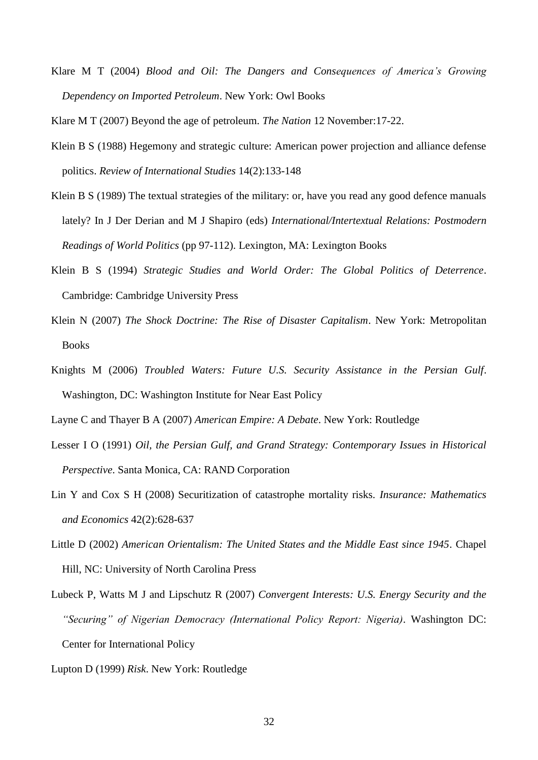Klare M T (2004) *Blood and Oil: The Dangers and Consequences of America's Growing Dependency on Imported Petroleum*. New York: Owl Books

Klare M T (2007) Beyond the age of petroleum. *The Nation* 12 November:17-22.

- Klein B S (1988) Hegemony and strategic culture: American power projection and alliance defense politics. *Review of International Studies* 14(2):133-148
- Klein B S (1989) The textual strategies of the military: or, have you read any good defence manuals lately? In J Der Derian and M J Shapiro (eds) *International/Intertextual Relations: Postmodern Readings of World Politics* (pp 97-112). Lexington, MA: Lexington Books
- Klein B S (1994) *Strategic Studies and World Order: The Global Politics of Deterrence*. Cambridge: Cambridge University Press
- Klein N (2007) *The Shock Doctrine: The Rise of Disaster Capitalism*. New York: Metropolitan Books
- Knights M (2006) *Troubled Waters: Future U.S. Security Assistance in the Persian Gulf*. Washington, DC: Washington Institute for Near East Policy
- Layne C and Thayer B A (2007) *American Empire: A Debate*. New York: Routledge
- Lesser I O (1991) *Oil, the Persian Gulf, and Grand Strategy: Contemporary Issues in Historical Perspective*. Santa Monica, CA: RAND Corporation
- Lin Y and Cox S H (2008) Securitization of catastrophe mortality risks. *Insurance: Mathematics and Economics* 42(2):628-637
- Little D (2002) *American Orientalism: The United States and the Middle East since 1945*. Chapel Hill, NC: University of North Carolina Press
- Lubeck P, Watts M J and Lipschutz R (2007) *Convergent Interests: U.S. Energy Security and the "Securing" of Nigerian Democracy (International Policy Report: Nigeria)*. Washington DC: Center for International Policy
- Lupton D (1999) *Risk*. New York: Routledge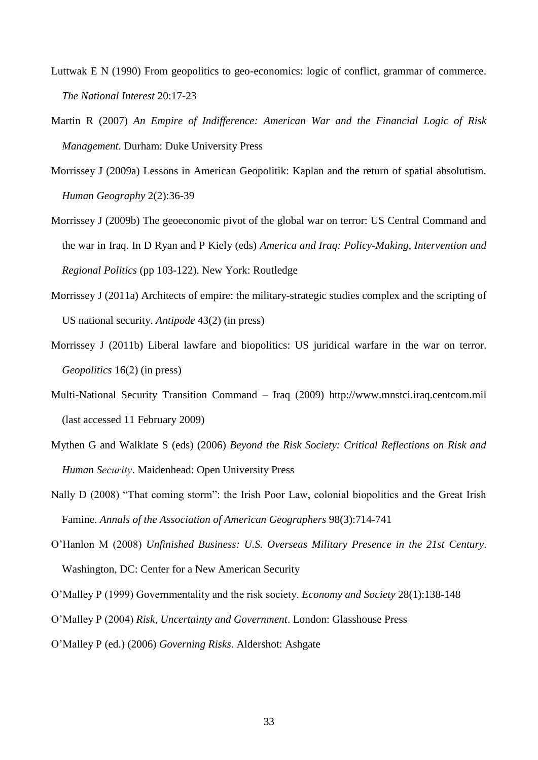- Luttwak E N (1990) From geopolitics to geo-economics: logic of conflict, grammar of commerce. *The National Interest* 20:17-23
- Martin R (2007) *An Empire of Indifference: American War and the Financial Logic of Risk Management*. Durham: Duke University Press
- Morrissey J (2009a) Lessons in American Geopolitik: Kaplan and the return of spatial absolutism. *Human Geography* 2(2):36-39
- Morrissey J (2009b) The geoeconomic pivot of the global war on terror: US Central Command and the war in Iraq. In D Ryan and P Kiely (eds) *America and Iraq: Policy-Making, Intervention and Regional Politics* (pp 103-122). New York: Routledge
- Morrissey J (2011a) Architects of empire: the military-strategic studies complex and the scripting of US national security. *Antipode* 43(2) (in press)
- Morrissey J (2011b) Liberal lawfare and biopolitics: US juridical warfare in the war on terror. *Geopolitics* 16(2) (in press)
- Multi-National Security Transition Command Iraq (2009) http://www.mnstci.iraq.centcom.mil (last accessed 11 February 2009)
- Mythen G and Walklate S (eds) (2006) *Beyond the Risk Society: Critical Reflections on Risk and Human Security*. Maidenhead: Open University Press
- Nally D (2008) "That coming storm": the Irish Poor Law, colonial biopolitics and the Great Irish Famine. *Annals of the Association of American Geographers* 98(3):714-741
- O'Hanlon M (2008) *Unfinished Business: U.S. Overseas Military Presence in the 21st Century*. Washington, DC: Center for a New American Security
- O'Malley P (1999) Governmentality and the risk society. *Economy and Society* 28(1):138-148
- O'Malley P (2004) *Risk, Uncertainty and Government*. London: Glasshouse Press
- O'Malley P (ed.) (2006) *Governing Risks*. Aldershot: Ashgate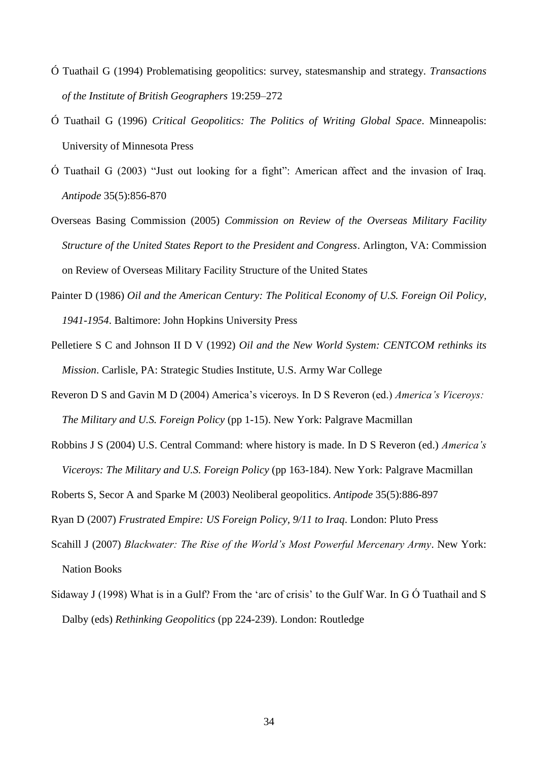- Ó Tuathail G (1994) Problematising geopolitics: survey, statesmanship and strategy. *Transactions of the Institute of British Geographers* 19:259–272
- Ó Tuathail G (1996) *Critical Geopolitics: The Politics of Writing Global Space*. Minneapolis: University of Minnesota Press
- Ó Tuathail G (2003) "Just out looking for a fight": American affect and the invasion of Iraq. *Antipode* 35(5):856-870
- Overseas Basing Commission (2005) *Commission on Review of the Overseas Military Facility Structure of the United States Report to the President and Congress*. Arlington, VA: Commission on Review of Overseas Military Facility Structure of the United States
- Painter D (1986) *Oil and the American Century: The Political Economy of U.S. Foreign Oil Policy, 1941-1954*. Baltimore: John Hopkins University Press
- Pelletiere S C and Johnson II D V (1992) *Oil and the New World System: CENTCOM rethinks its Mission*. Carlisle, PA: Strategic Studies Institute, U.S. Army War College
- Reveron D S and Gavin M D (2004) America's viceroys. In D S Reveron (ed.) *America's Viceroys: The Military and U.S. Foreign Policy* (pp 1-15). New York: Palgrave Macmillan
- Robbins J S (2004) U.S. Central Command: where history is made. In D S Reveron (ed.) *America's Viceroys: The Military and U.S. Foreign Policy* (pp 163-184). New York: Palgrave Macmillan
- Roberts S, Secor A and Sparke M (2003) Neoliberal geopolitics. *Antipode* 35(5):886-897
- Ryan D (2007) *Frustrated Empire: US Foreign Policy, 9/11 to Iraq*. London: Pluto Press
- Scahill J (2007) *Blackwater: The Rise of the World's Most Powerful Mercenary Army*. New York: Nation Books
- Sidaway J (1998) What is in a Gulf? From the 'arc of crisis' to the Gulf War. In G Ó Tuathail and S Dalby (eds) *Rethinking Geopolitics* (pp 224-239). London: Routledge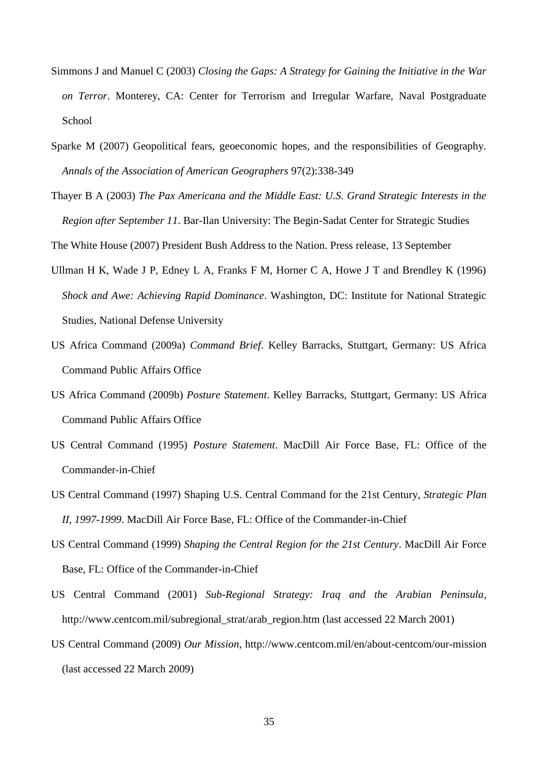- Simmons J and Manuel C (2003) *Closing the Gaps: A Strategy for Gaining the Initiative in the War on Terror*. Monterey, CA: Center for Terrorism and Irregular Warfare, Naval Postgraduate School
- Sparke M (2007) Geopolitical fears, geoeconomic hopes, and the responsibilities of Geography. *Annals of the Association of American Geographers* 97(2):338-349
- Thayer B A (2003) *The Pax Americana and the Middle East: U.S. Grand Strategic Interests in the Region after September 11*. Bar-Ilan University: The Begin-Sadat Center for Strategic Studies

The White House (2007) President Bush Address to the Nation. Press release, 13 September

- Ullman H K, Wade J P, Edney L A, Franks F M, Horner C A, Howe J T and Brendley K (1996) *Shock and Awe: Achieving Rapid Dominance*. Washington, DC: Institute for National Strategic Studies, National Defense University
- US Africa Command (2009a) *Command Brief*. Kelley Barracks, Stuttgart, Germany: US Africa Command Public Affairs Office
- US Africa Command (2009b) *Posture Statement*. Kelley Barracks, Stuttgart, Germany: US Africa Command Public Affairs Office
- US Central Command (1995) *Posture Statement*. MacDill Air Force Base, FL: Office of the Commander-in-Chief
- US Central Command (1997) Shaping U.S. Central Command for the 21st Century, *Strategic Plan II, 1997-1999*. MacDill Air Force Base, FL: Office of the Commander-in-Chief
- US Central Command (1999) *Shaping the Central Region for the 21st Century*. MacDill Air Force Base, FL: Office of the Commander-in-Chief
- US Central Command (2001) *Sub-Regional Strategy: Iraq and the Arabian Peninsula*, http://www.centcom.mil/subregional\_strat/arab\_region.htm (last accessed 22 March 2001)
- US Central Command (2009) *Our Mission*, http://www.centcom.mil/en/about-centcom/our-mission (last accessed 22 March 2009)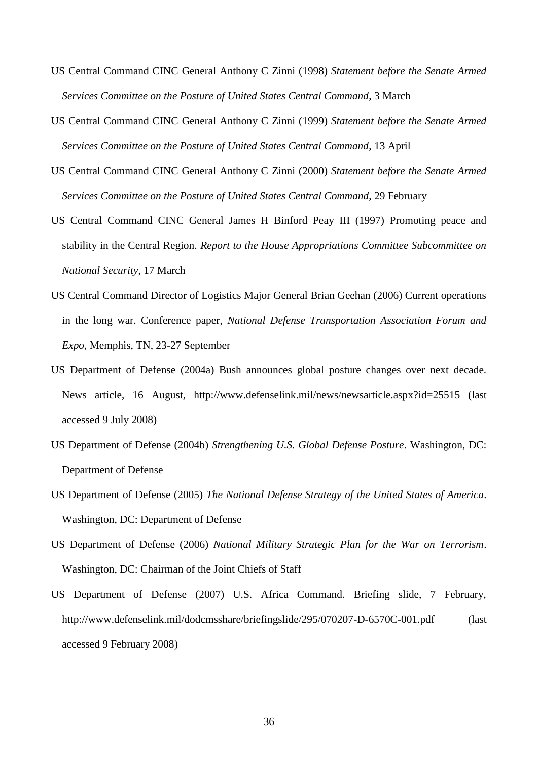- US Central Command CINC General Anthony C Zinni (1998) *Statement before the Senate Armed Services Committee on the Posture of United States Central Command*, 3 March
- US Central Command CINC General Anthony C Zinni (1999) *Statement before the Senate Armed Services Committee on the Posture of United States Central Command*, 13 April
- US Central Command CINC General Anthony C Zinni (2000) *Statement before the Senate Armed Services Committee on the Posture of United States Central Command*, 29 February
- US Central Command CINC General James H Binford Peay III (1997) Promoting peace and stability in the Central Region. *Report to the House Appropriations Committee Subcommittee on National Security*, 17 March
- US Central Command Director of Logistics Major General Brian Geehan (2006) Current operations in the long war. Conference paper, *National Defense Transportation Association Forum and Expo*, Memphis, TN, 23-27 September
- US Department of Defense (2004a) Bush announces global posture changes over next decade. News article, 16 August, http://www.defenselink.mil/news/newsarticle.aspx?id=25515 (last accessed 9 July 2008)
- US Department of Defense (2004b) *Strengthening U.S. Global Defense Posture*. Washington, DC: Department of Defense
- US Department of Defense (2005) *The National Defense Strategy of the United States of America*. Washington, DC: Department of Defense
- US Department of Defense (2006) *National Military Strategic Plan for the War on Terrorism*. Washington, DC: Chairman of the Joint Chiefs of Staff
- US Department of Defense (2007) U.S. Africa Command. Briefing slide, 7 February, http://www.defenselink.mil/dodcmsshare/briefingslide/295/070207-D-6570C-001.pdf (last accessed 9 February 2008)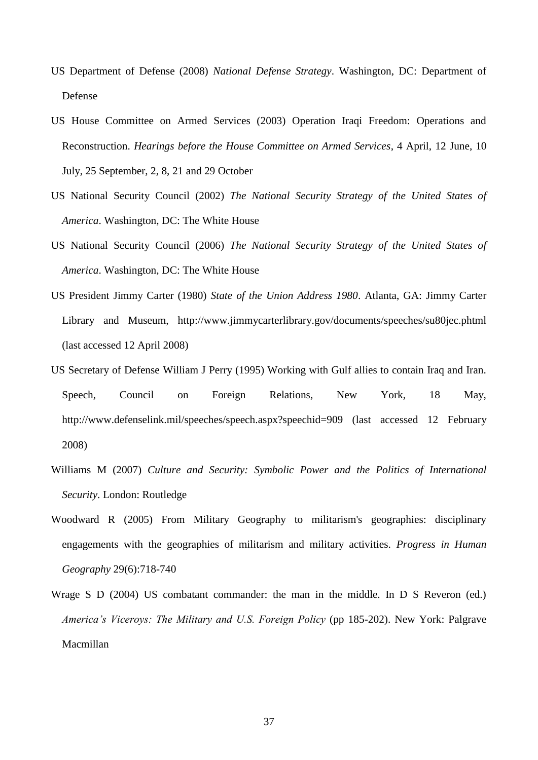- US Department of Defense (2008) *National Defense Strategy*. Washington, DC: Department of Defense
- US House Committee on Armed Services (2003) Operation Iraqi Freedom: Operations and Reconstruction. *Hearings before the House Committee on Armed Services*, 4 April, 12 June, 10 July, 25 September, 2, 8, 21 and 29 October
- US National Security Council (2002) *The National Security Strategy of the United States of America*. Washington, DC: The White House
- US National Security Council (2006) *The National Security Strategy of the United States of America*. Washington, DC: The White House
- US President Jimmy Carter (1980) *State of the Union Address 1980*. Atlanta, GA: Jimmy Carter Library and Museum, http://www.jimmycarterlibrary.gov/documents/speeches/su80jec.phtml (last accessed 12 April 2008)
- US Secretary of Defense William J Perry (1995) Working with Gulf allies to contain Iraq and Iran. Speech, Council on Foreign Relations, New York, 18 May, http://www.defenselink.mil/speeches/speech.aspx?speechid=909 (last accessed 12 February 2008)
- Williams M (2007) *Culture and Security: Symbolic Power and the Politics of International Security*. London: Routledge
- Woodward R (2005) From Military Geography to militarism's geographies: disciplinary engagements with the geographies of militarism and military activities. *Progress in Human Geography* 29(6):718-740
- Wrage S D (2004) US combatant commander: the man in the middle. In D S Reveron (ed.) *America's Viceroys: The Military and U.S. Foreign Policy* (pp 185-202). New York: Palgrave Macmillan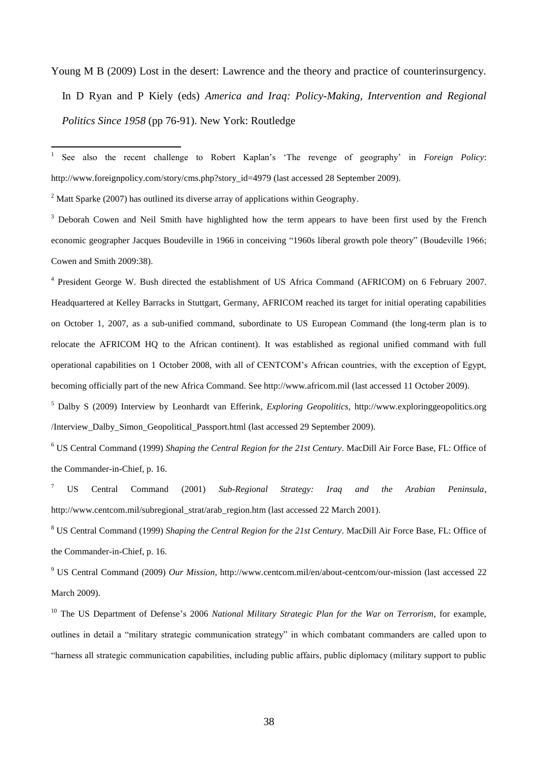Young M B (2009) Lost in the desert: Lawrence and the theory and practice of counterinsurgency. In D Ryan and P Kiely (eds) *America and Iraq: Policy-Making, Intervention and Regional Politics Since 1958* (pp 76-91). New York: Routledge

 $\frac{1}{1}$ See also the recent challenge to Robert Kaplan's 'The revenge of geography' in *Foreign Policy*: http://www.foreignpolicy.com/story/cms.php?story\_id=4979 (last accessed 28 September 2009).

 $2$  Matt Sparke (2007) has outlined its diverse array of applications within Geography.

<sup>3</sup> Deborah Cowen and Neil Smith have highlighted how the term appears to have been first used by the French economic geographer Jacques Boudeville in 1966 in conceiving "1960s liberal growth pole theory" (Boudeville 1966; Cowen and Smith 2009:38).

<sup>4</sup> President George W. Bush directed the establishment of US Africa Command (AFRICOM) on 6 February 2007. Headquartered at Kelley Barracks in Stuttgart, Germany, AFRICOM reached its target for initial operating capabilities on October 1, 2007, as a sub-unified command, subordinate to US European Command (the long-term plan is to relocate the AFRICOM HQ to the African continent). It was established as regional unified command with full operational capabilities on 1 October 2008, with all of CENTCOM's African countries, with the exception of Egypt, becoming officially part of the new Africa Command. See http://www.africom.mil (last accessed 11 October 2009).

<sup>5</sup> Dalby S (2009) Interview by Leonhardt van Efferink, *Exploring Geopolitics*, http://www.exploringgeopolitics.org /Interview\_Dalby\_Simon\_Geopolitical\_Passport.html (last accessed 29 September 2009).

<sup>6</sup> US Central Command (1999) *Shaping the Central Region for the 21st Century*. MacDill Air Force Base, FL: Office of the Commander-in-Chief, p. 16.

<sup>7</sup> US Central Command (2001) *Sub-Regional Strategy: Iraq and the Arabian Peninsula*, http://www.centcom.mil/subregional\_strat/arab\_region.htm (last accessed 22 March 2001).

<sup>8</sup> US Central Command (1999) *Shaping the Central Region for the 21st Century*. MacDill Air Force Base, FL: Office of the Commander-in-Chief, p. 16.

<sup>9</sup> US Central Command (2009) *Our Mission*, http://www.centcom.mil/en/about-centcom/our-mission (last accessed 22 March 2009).

<sup>10</sup> The US Department of Defense's 2006 *National Military Strategic Plan for the War on Terrorism*, for example, outlines in detail a "military strategic communication strategy" in which combatant commanders are called upon to "harness all strategic communication capabilities, including public affairs, public diplomacy (military support to public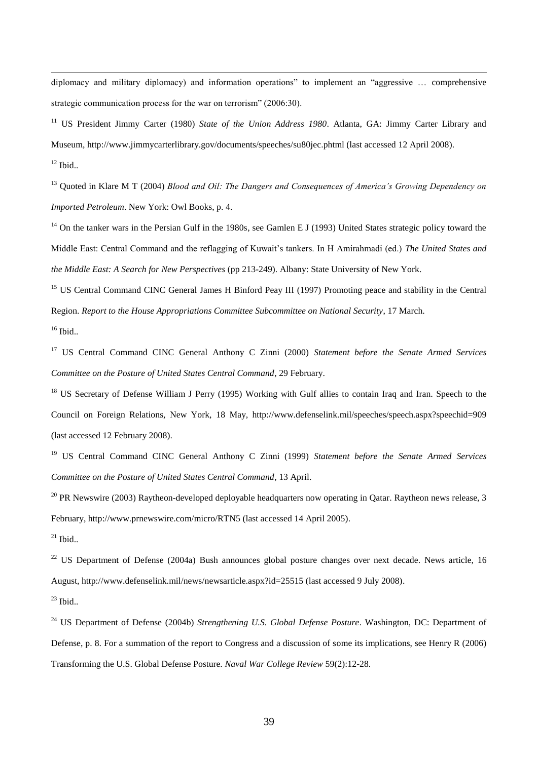diplomacy and military diplomacy) and information operations" to implement an "aggressive … comprehensive strategic communication process for the war on terrorism" (2006:30).

<sup>11</sup> US President Jimmy Carter (1980) *State of the Union Address 1980*. Atlanta, GA: Jimmy Carter Library and Museum, http://www.jimmycarterlibrary.gov/documents/speeches/su80jec.phtml (last accessed 12 April 2008).

 $12$  Ibid..

-

<sup>13</sup> Quoted in Klare M T (2004) *Blood and Oil: The Dangers and Consequences of America's Growing Dependency on Imported Petroleum*. New York: Owl Books, p. 4.

 $14$  On the tanker wars in the Persian Gulf in the 1980s, see Gamlen E J (1993) United States strategic policy toward the Middle East: Central Command and the reflagging of Kuwait's tankers. In H Amirahmadi (ed.) *The United States and the Middle East: A Search for New Perspectives* (pp 213-249). Albany: State University of New York.

<sup>15</sup> US Central Command CINC General James H Binford Peay III (1997) Promoting peace and stability in the Central Region. *Report to the House Appropriations Committee Subcommittee on National Security*, 17 March.

<sup>16</sup> Ibid..

<sup>17</sup> US Central Command CINC General Anthony C Zinni (2000) *Statement before the Senate Armed Services Committee on the Posture of United States Central Command*, 29 February.

<sup>18</sup> US Secretary of Defense William J Perry (1995) Working with Gulf allies to contain Iraq and Iran. Speech to the Council on Foreign Relations, New York, 18 May, http://www.defenselink.mil/speeches/speech.aspx?speechid=909 (last accessed 12 February 2008).

<sup>19</sup> US Central Command CINC General Anthony C Zinni (1999) *Statement before the Senate Armed Services Committee on the Posture of United States Central Command*, 13 April.

 $20$  PR Newswire (2003) Raytheon-developed deployable headquarters now operating in Qatar. Raytheon news release, 3 February, http://www.prnewswire.com/micro/RTN5 (last accessed 14 April 2005).

 $^{21}$  Ibid..

<sup>22</sup> US Department of Defense (2004a) Bush announces global posture changes over next decade. News article, 16 August, http://www.defenselink.mil/news/newsarticle.aspx?id=25515 (last accessed 9 July 2008).

 $^{23}$  Ibid...

<sup>24</sup> US Department of Defense (2004b) *Strengthening U.S. Global Defense Posture*. Washington, DC: Department of Defense, p. 8. For a summation of the report to Congress and a discussion of some its implications, see Henry R (2006) Transforming the U.S. Global Defense Posture. *Naval War College Review* 59(2):12-28.